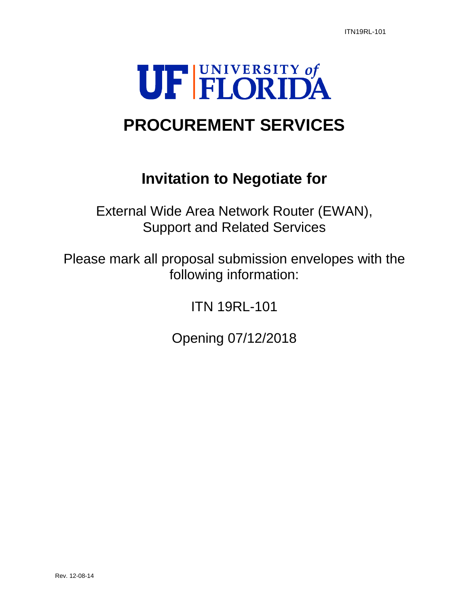# UF FLORIDA

# **PROCUREMENT SERVICES**

# **Invitation to Negotiate for**

External Wide Area Network Router (EWAN), Support and Related Services

Please mark all proposal submission envelopes with the following information:

ITN 19RL-101

Opening 07/12/2018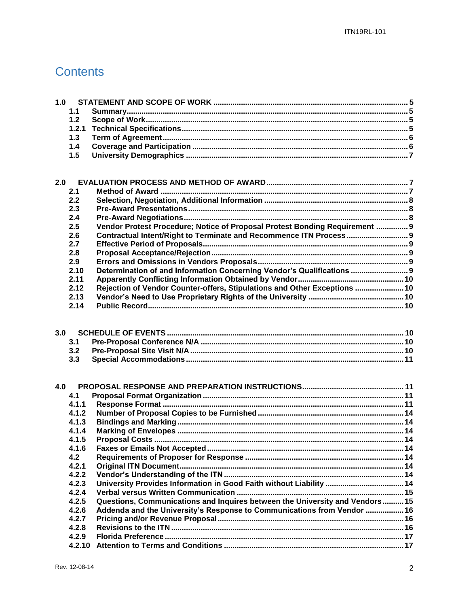# **Contents**

| 1.0 |        |                                                                             |  |
|-----|--------|-----------------------------------------------------------------------------|--|
|     | 1.1    |                                                                             |  |
|     | 1.2    |                                                                             |  |
|     | 1.2.1  |                                                                             |  |
|     | 1.3    |                                                                             |  |
|     | 1.4    |                                                                             |  |
|     | 1.5    |                                                                             |  |
|     |        |                                                                             |  |
|     |        |                                                                             |  |
| 2.0 |        |                                                                             |  |
|     | 2.1    |                                                                             |  |
|     | 2.2    |                                                                             |  |
|     | 2.3    |                                                                             |  |
|     | 2.4    |                                                                             |  |
|     | 2.5    | Vendor Protest Procedure; Notice of Proposal Protest Bonding Requirement  9 |  |
|     | 2.6    |                                                                             |  |
|     | 2.7    |                                                                             |  |
|     | 2.8    |                                                                             |  |
|     | 2.9    |                                                                             |  |
|     | 2.10   | Determination of and Information Concerning Vendor's Qualifications  9      |  |
|     | 2.11   |                                                                             |  |
|     | 2.12   | Rejection of Vendor Counter-offers, Stipulations and Other Exceptions  10   |  |
|     | 2.13   |                                                                             |  |
|     | 2.14   |                                                                             |  |
|     |        |                                                                             |  |
|     |        |                                                                             |  |
|     |        |                                                                             |  |
|     |        |                                                                             |  |
| 3.0 |        |                                                                             |  |
|     | 3.1    |                                                                             |  |
|     | 3.2    |                                                                             |  |
|     | 3.3    |                                                                             |  |
|     |        |                                                                             |  |
|     |        |                                                                             |  |
| 4.0 |        |                                                                             |  |
|     | 4.1    |                                                                             |  |
|     | 4.1.1  |                                                                             |  |
|     | 4.1.2  |                                                                             |  |
|     | 4.1.3  |                                                                             |  |
|     | 4.1.4  |                                                                             |  |
|     | 4.1.5  |                                                                             |  |
|     | 4.1.6  |                                                                             |  |
|     | 4.2    |                                                                             |  |
|     | 4.2.1  |                                                                             |  |
|     | 4.2.2  |                                                                             |  |
|     | 4.2.3  | University Provides Information in Good Faith without Liability  14         |  |
|     | 4.2.4  |                                                                             |  |
|     | 4.2.5  | Questions, Communications and Inquires between the University and Vendors15 |  |
|     | 4.2.6  | Addenda and the University's Response to Communications from Vendor  16     |  |
|     | 4.2.7  |                                                                             |  |
|     | 4.2.8  |                                                                             |  |
|     | 4.2.9  |                                                                             |  |
|     | 4.2.10 |                                                                             |  |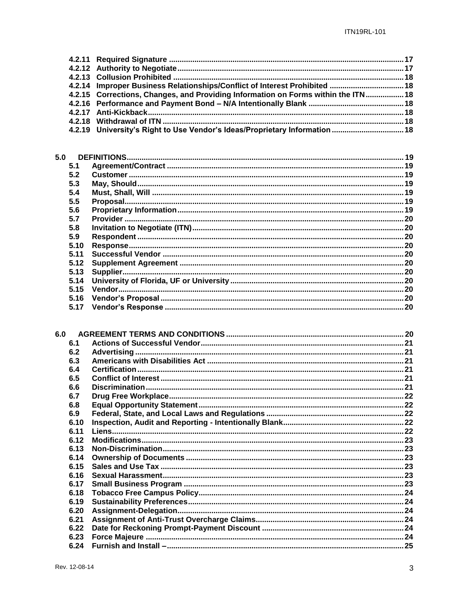| 4.2.14 Improper Business Relationships/Conflict of Interest Prohibited  18        |  |
|-----------------------------------------------------------------------------------|--|
| 4.2.15 Corrections, Changes, and Providing Information on Forms within the ITN 18 |  |
|                                                                                   |  |
|                                                                                   |  |
|                                                                                   |  |
| 4.2.19 University's Right to Use Vendor's Ideas/Proprietary Information  18       |  |
|                                                                                   |  |

| 5.0 |      |  |
|-----|------|--|
|     | 5.1  |  |
|     | 5.2  |  |
|     | 5.3  |  |
|     | 5.4  |  |
|     | 5.5  |  |
|     | 5.6  |  |
|     | 5.7  |  |
|     | 5.8  |  |
|     | 5.9  |  |
|     | 5.10 |  |
|     | 5.11 |  |
|     | 5.12 |  |
|     | 5.13 |  |
|     | 5.14 |  |
|     | 5.15 |  |
|     | 5.16 |  |
|     | 5.17 |  |
|     |      |  |

| 6.0 |      |  |
|-----|------|--|
|     | 6.1  |  |
|     | 6.2  |  |
|     | 6.3  |  |
|     | 6.4  |  |
|     | 6.5  |  |
|     | 6.6  |  |
|     | 6.7  |  |
|     | 6.8  |  |
|     | 6.9  |  |
|     | 6.10 |  |
|     | 6.11 |  |
|     | 6.12 |  |
|     | 6.13 |  |
|     | 6.14 |  |
|     | 6.15 |  |
|     | 6.16 |  |
|     | 6.17 |  |
|     | 6.18 |  |
|     | 6.19 |  |
|     | 6.20 |  |
|     | 6.21 |  |
|     | 6.22 |  |
|     | 6.23 |  |
|     | 6.24 |  |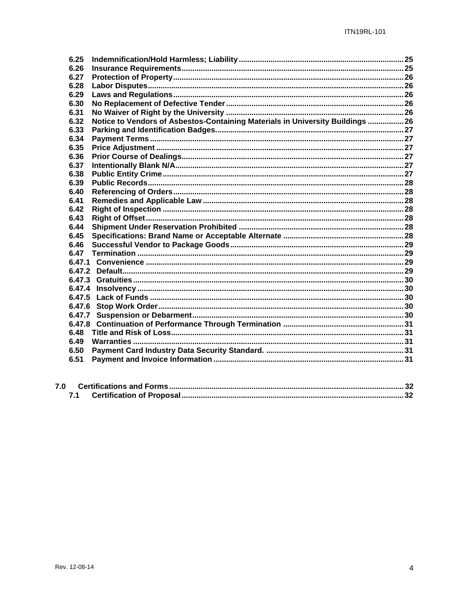| 6.25   |                                                                                |  |
|--------|--------------------------------------------------------------------------------|--|
| 6.26   |                                                                                |  |
| 6.27   |                                                                                |  |
| 6.28   |                                                                                |  |
| 6.29   |                                                                                |  |
| 6.30   |                                                                                |  |
| 6.31   |                                                                                |  |
| 6.32   | Notice to Vendors of Asbestos-Containing Materials in University Buildings  26 |  |
| 6.33   |                                                                                |  |
| 6.34   |                                                                                |  |
| 6.35   |                                                                                |  |
| 6.36   |                                                                                |  |
| 6.37   |                                                                                |  |
| 6.38   |                                                                                |  |
| 6.39   |                                                                                |  |
| 6.40   |                                                                                |  |
| 6.41   |                                                                                |  |
| 6.42   |                                                                                |  |
| 6.43   |                                                                                |  |
| 6.44   |                                                                                |  |
| 6.45   |                                                                                |  |
| 6.46   |                                                                                |  |
| 6.47   |                                                                                |  |
| 6.47.1 |                                                                                |  |
| 6.47.2 |                                                                                |  |
| 6.47.3 |                                                                                |  |
| 6.47.4 |                                                                                |  |
| 6.47.5 |                                                                                |  |
| 6.47.6 |                                                                                |  |
| 6.47.7 |                                                                                |  |
| 6.47.8 |                                                                                |  |
| 6.48   |                                                                                |  |
| 6.49   |                                                                                |  |
| 6.50   |                                                                                |  |
| 6.51   |                                                                                |  |
|        |                                                                                |  |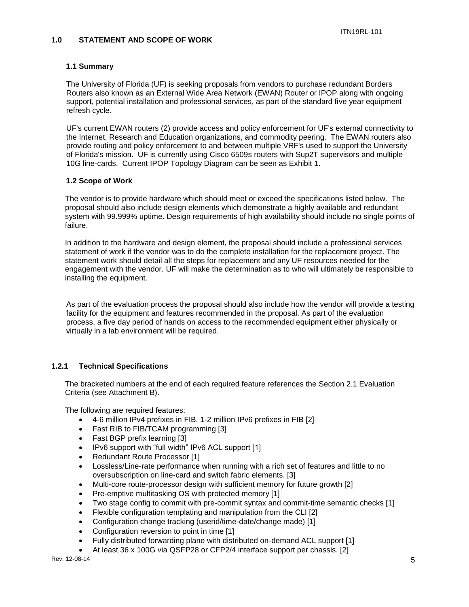#### <span id="page-4-1"></span><span id="page-4-0"></span> **1.1 Summary**

The University of Florida (UF) is seeking proposals from vendors to purchase redundant Borders Routers also known as an External Wide Area Network (EWAN) Router or IPOP along with ongoing support, potential installation and professional services, as part of the standard five year equipment refresh cycle.

UF's current EWAN routers (2) provide access and policy enforcement for UF's external connectivity to the Internet, Research and Education organizations, and commodity peering. The EWAN routers also provide routing and policy enforcement to and between multiple VRF's used to support the University of Florida's mission. UF is currently using Cisco 6509s routers with Sup2T supervisors and multiple 10G line-cards. Current IPOP Topology Diagram can be seen as Exhibit 1.

#### <span id="page-4-2"></span> **1.2 Scope of Work**

The vendor is to provide hardware which should meet or exceed the specifications listed below. The proposal should also include design elements which demonstrate a highly available and redundant system with 99.999% uptime. Design requirements of high availability should include no single points of failure.

In addition to the hardware and design element, the proposal should include a professional services statement of work if the vendor was to do the complete installation for the replacement project. The statement work should detail all the steps for replacement and any UF resources needed for the engagement with the vendor. UF will make the determination as to who will ultimately be responsible to installing the equipment.

As part of the evaluation process the proposal should also include how the vendor will provide a testing facility for the equipment and features recommended in the proposal. As part of the evaluation process, a five day period of hands on access to the recommended equipment either physically or virtually in a lab environment will be required.

# <span id="page-4-3"></span>**1.2.1 Technical Specifications**

The bracketed numbers at the end of each required feature references the Section 2.1 Evaluation Criteria (see Attachment B).

The following are required features:

- 4-6 million IPv4 prefixes in FIB, 1-2 million IPv6 prefixes in FIB [2]
- Fast RIB to FIB/TCAM programming [3]
- Fast BGP prefix learning [3]
- IPv6 support with "full width" IPv6 ACL support [1]
- Redundant Route Processor [1]
- Lossless/Line-rate performance when running with a rich set of features and little to no oversubscription on line-card and switch fabric elements. [3]
- Multi-core route-processor design with sufficient memory for future growth [2]
- Pre-emptive multitasking OS with protected memory [1]
- Two stage config to commit with pre-commit syntax and commit-time semantic checks [1]
- Flexible configuration templating and manipulation from the CLI [2]
- Configuration change tracking (userid/time-date/change made) [1]
- Configuration reversion to point in time [1]
- Fully distributed forwarding plane with distributed on-demand ACL support [1]
- At least 36 x 100G via QSFP28 or CFP2/4 interface support per chassis. [2]

Rev. 12-08-14  $\,$  5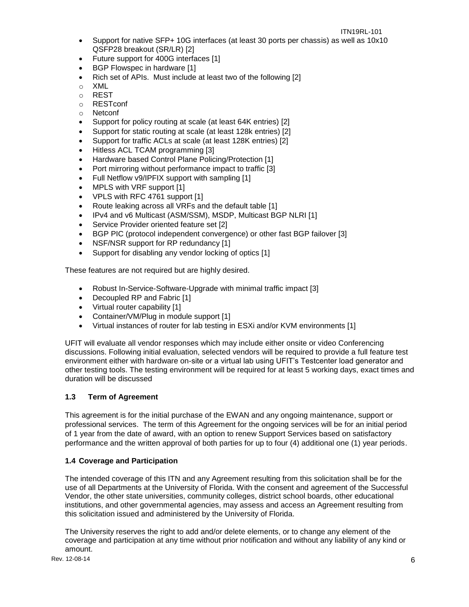- Support for native SFP+ 10G interfaces (at least 30 ports per chassis) as well as 10x10 QSFP28 breakout (SR/LR) [2]
- Future support for 400G interfaces [1]
- BGP Flowspec in hardware [1]
- Rich set of APIs. Must include at least two of the following [2]
- o XML
- o REST
- o RESTconf
- o Netconf
- Support for policy routing at scale (at least 64K entries) [2]
- Support for static routing at scale (at least 128k entries) [2]
- Support for traffic ACLs at scale (at least 128K entries) [2]
- Hitless ACL TCAM programming [3]
- Hardware based Control Plane Policing/Protection [1]
- Port mirroring without performance impact to traffic [3]
- Full Netflow v9/IPFIX support with sampling [1]
- MPLS with VRF support [1]
- VPLS with RFC 4761 support [1]
- Route leaking across all VRFs and the default table [1]
- IPv4 and v6 Multicast (ASM/SSM), MSDP, Multicast BGP NLRI [1]
- Service Provider oriented feature set [2]
- BGP PIC (protocol independent convergence) or other fast BGP failover [3]
- NSF/NSR support for RP redundancy [1]
- Support for disabling any vendor locking of optics [1]

These features are not required but are highly desired.

- Robust In-Service-Software-Upgrade with minimal traffic impact [3]
- Decoupled RP and Fabric [1]
- Virtual router capability [1]
- Container/VM/Plug in module support [1]
- Virtual instances of router for lab testing in ESXi and/or KVM environments [1]

UFIT will evaluate all vendor responses which may include either onsite or video Conferencing discussions. Following initial evaluation, selected vendors will be required to provide a full feature test environment either with hardware on-site or a virtual lab using UFIT's Testcenter load generator and other testing tools. The testing environment will be required for at least 5 working days, exact times and duration will be discussed

# <span id="page-5-0"></span>**1.3 Term of Agreement**

This agreement is for the initial purchase of the EWAN and any ongoing maintenance, support or professional services. The term of this Agreement for the ongoing services will be for an initial period of 1 year from the date of award, with an option to renew Support Services based on satisfactory performance and the written approval of both parties for up to four (4) additional one (1) year periods.

# <span id="page-5-1"></span>**1.4 Coverage and Participation**

The intended coverage of this ITN and any Agreement resulting from this solicitation shall be for the use of all Departments at the University of Florida. With the consent and agreement of the Successful Vendor, the other state universities, community colleges, district school boards, other educational institutions, and other governmental agencies, may assess and access an Agreement resulting from this solicitation issued and administered by the University of Florida.

The University reserves the right to add and/or delete elements, or to change any element of the coverage and participation at any time without prior notification and without any liability of any kind or amount.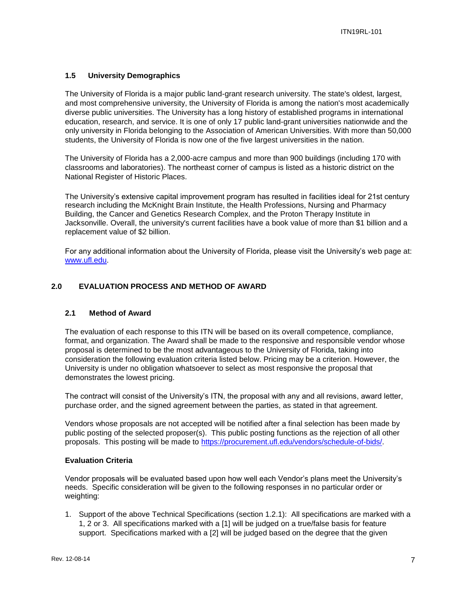#### <span id="page-6-0"></span>**1.5 University Demographics**

The University of Florida is a major public land-grant research university. The state's oldest, largest, and most comprehensive university, the University of Florida is among the nation's most academically diverse public universities. The University has a long history of established programs in international education, research, and service. It is one of only 17 public land-grant universities nationwide and the only university in Florida belonging to the Association of American Universities. With more than 50,000 students, the University of Florida is now one of the five largest universities in the nation.

The University of Florida has a 2,000-acre campus and more than 900 buildings (including 170 with classrooms and laboratories). The northeast corner of campus is listed as a historic district on the National Register of Historic Places.

The University's extensive capital improvement program has resulted in facilities ideal for 21st century research including the McKnight Brain Institute, the Health Professions, Nursing and Pharmacy Building, the Cancer and Genetics Research Complex, and the Proton Therapy Institute in Jacksonville. Overall, the university's current facilities have a book value of more than \$1 billion and a replacement value of \$2 billion.

For any additional information about the University of Florida, please visit the University's web page at: [www.ufl.edu.](http://www.ufl.edu/)

## <span id="page-6-1"></span>**2.0 EVALUATION PROCESS AND METHOD OF AWARD**

#### <span id="page-6-2"></span>**2.1 Method of Award**

The evaluation of each response to this ITN will be based on its overall competence, compliance, format, and organization. The Award shall be made to the responsive and responsible vendor whose proposal is determined to be the most advantageous to the University of Florida, taking into consideration the following evaluation criteria listed below. Pricing may be a criterion. However, the University is under no obligation whatsoever to select as most responsive the proposal that demonstrates the lowest pricing.

The contract will consist of the University's ITN, the proposal with any and all revisions, award letter, purchase order, and the signed agreement between the parties, as stated in that agreement.

Vendors whose proposals are not accepted will be notified after a final selection has been made by public posting of the selected proposer(s). This public posting functions as the rejection of all other proposals. This posting will be made to [https://procurement.ufl.edu/vendors/schedule-of-bids/.](https://procurement.ufl.edu/vendors/schedule-of-bids/)

#### **Evaluation Criteria**

Vendor proposals will be evaluated based upon how well each Vendor's plans meet the University's needs. Specific consideration will be given to the following responses in no particular order or weighting:

1. Support of the above Technical Specifications (section 1.2.1): All specifications are marked with a 1, 2 or 3. All specifications marked with a [1] will be judged on a true/false basis for feature support. Specifications marked with a [2] will be judged based on the degree that the given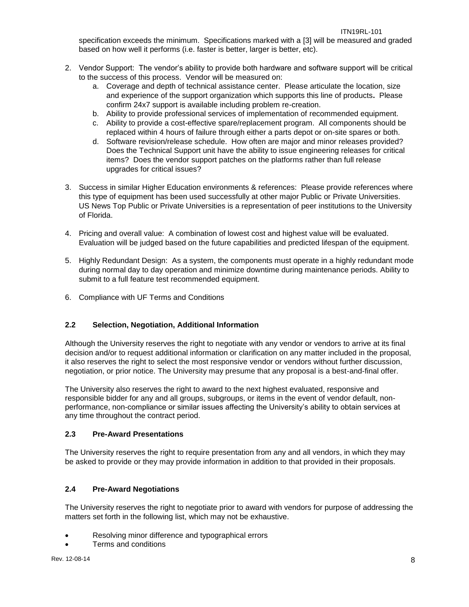specification exceeds the minimum. Specifications marked with a [3] will be measured and graded based on how well it performs (i.e. faster is better, larger is better, etc).

- 2. Vendor Support: The vendor's ability to provide both hardware and software support will be critical to the success of this process. Vendor will be measured on:
	- a. Coverage and depth of technical assistance center. Please articulate the location, size and experience of the support organization which supports this line of products**.** Please confirm 24x7 support is available including problem re-creation.
	- b. Ability to provide professional services of implementation of recommended equipment.
	- c. Ability to provide a cost-effective spare/replacement program. All components should be replaced within 4 hours of failure through either a parts depot or on-site spares or both.
	- d. Software revision/release schedule. How often are major and minor releases provided? Does the Technical Support unit have the ability to issue engineering releases for critical items? Does the vendor support patches on the platforms rather than full release upgrades for critical issues?
- 3. Success in similar Higher Education environments & references: Please provide references where this type of equipment has been used successfully at other major Public or Private Universities. US News Top Public or Private Universities is a representation of peer institutions to the University of Florida.
- 4. Pricing and overall value: A combination of lowest cost and highest value will be evaluated. Evaluation will be judged based on the future capabilities and predicted lifespan of the equipment.
- 5. Highly Redundant Design: As a system, the components must operate in a highly redundant mode during normal day to day operation and minimize downtime during maintenance periods. Ability to submit to a full feature test recommended equipment.
- 6. Compliance with UF Terms and Conditions

# <span id="page-7-0"></span>**2.2 Selection, Negotiation, Additional Information**

Although the University reserves the right to negotiate with any vendor or vendors to arrive at its final decision and/or to request additional information or clarification on any matter included in the proposal, it also reserves the right to select the most responsive vendor or vendors without further discussion, negotiation, or prior notice. The University may presume that any proposal is a best-and-final offer.

The University also reserves the right to award to the next highest evaluated, responsive and responsible bidder for any and all groups, subgroups, or items in the event of vendor default, nonperformance, non-compliance or similar issues affecting the University's ability to obtain services at any time throughout the contract period.

#### <span id="page-7-1"></span>**2.3 Pre-Award Presentations**

The University reserves the right to require presentation from any and all vendors, in which they may be asked to provide or they may provide information in addition to that provided in their proposals.

# <span id="page-7-2"></span>**2.4 Pre-Award Negotiations**

The University reserves the right to negotiate prior to award with vendors for purpose of addressing the matters set forth in the following list, which may not be exhaustive.

- Resolving minor difference and typographical errors
- Terms and conditions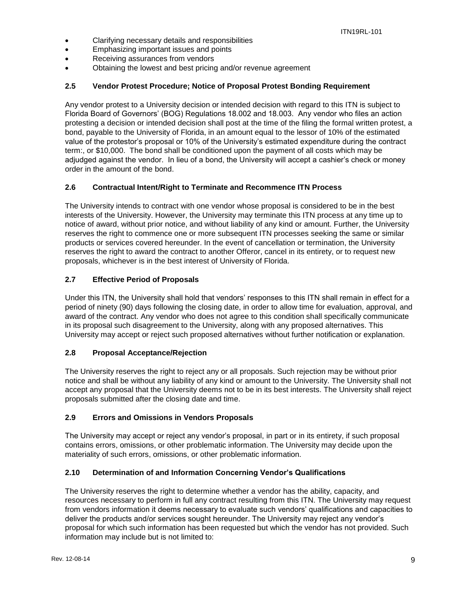- Clarifying necessary details and responsibilities
- Emphasizing important issues and points
- Receiving assurances from vendors
- Obtaining the lowest and best pricing and/or revenue agreement

# <span id="page-8-0"></span>**2.5 Vendor Protest Procedure; Notice of Proposal Protest Bonding Requirement**

Any vendor protest to a University decision or intended decision with regard to this ITN is subject to Florida Board of Governors' (BOG) Regulations 18.002 and 18.003. Any vendor who files an action protesting a decision or intended decision shall post at the time of the filing the formal written protest, a bond, payable to the University of Florida, in an amount equal to the lessor of 10% of the estimated value of the protestor's proposal or 10% of the University's estimated expenditure during the contract term:, or \$10,000. The bond shall be conditioned upon the payment of all costs which may be adjudged against the vendor. In lieu of a bond, the University will accept a cashier's check or money order in the amount of the bond.

# <span id="page-8-1"></span>**2.6 Contractual Intent/Right to Terminate and Recommence ITN Process**

The University intends to contract with one vendor whose proposal is considered to be in the best interests of the University. However, the University may terminate this ITN process at any time up to notice of award, without prior notice, and without liability of any kind or amount. Further, the University reserves the right to commence one or more subsequent ITN processes seeking the same or similar products or services covered hereunder. In the event of cancellation or termination, the University reserves the right to award the contract to another Offeror, cancel in its entirety, or to request new proposals, whichever is in the best interest of University of Florida.

# <span id="page-8-2"></span>**2.7 Effective Period of Proposals**

Under this ITN, the University shall hold that vendors' responses to this ITN shall remain in effect for a period of ninety (90) days following the closing date, in order to allow time for evaluation, approval, and award of the contract. Any vendor who does not agree to this condition shall specifically communicate in its proposal such disagreement to the University, along with any proposed alternatives. This University may accept or reject such proposed alternatives without further notification or explanation.

# <span id="page-8-3"></span>**2.8 Proposal Acceptance/Rejection**

The University reserves the right to reject any or all proposals. Such rejection may be without prior notice and shall be without any liability of any kind or amount to the University. The University shall not accept any proposal that the University deems not to be in its best interests. The University shall reject proposals submitted after the closing date and time.

# <span id="page-8-4"></span>**2.9 Errors and Omissions in Vendors Proposals**

The University may accept or reject any vendor's proposal, in part or in its entirety, if such proposal contains errors, omissions, or other problematic information. The University may decide upon the materiality of such errors, omissions, or other problematic information.

# <span id="page-8-5"></span>**2.10 Determination of and Information Concerning Vendor's Qualifications**

The University reserves the right to determine whether a vendor has the ability, capacity, and resources necessary to perform in full any contract resulting from this ITN. The University may request from vendors information it deems necessary to evaluate such vendors' qualifications and capacities to deliver the products and/or services sought hereunder. The University may reject any vendor's proposal for which such information has been requested but which the vendor has not provided. Such information may include but is not limited to: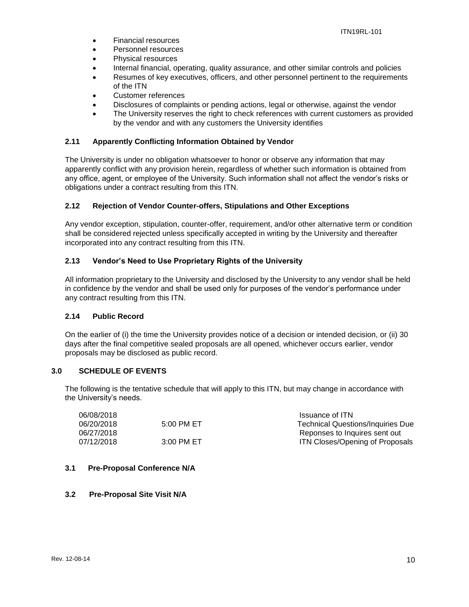- Financial resources
- Personnel resources
- Physical resources
- Internal financial, operating, quality assurance, and other similar controls and policies
- Resumes of key executives, officers, and other personnel pertinent to the requirements of the ITN
- Customer references
- Disclosures of complaints or pending actions, legal or otherwise, against the vendor
- The University reserves the right to check references with current customers as provided by the vendor and with any customers the University identifies

## <span id="page-9-0"></span>**2.11 Apparently Conflicting Information Obtained by Vendor**

The University is under no obligation whatsoever to honor or observe any information that may apparently conflict with any provision herein, regardless of whether such information is obtained from any office, agent, or employee of the University. Such information shall not affect the vendor's risks or obligations under a contract resulting from this ITN.

#### <span id="page-9-1"></span>**2.12 Rejection of Vendor Counter-offers, Stipulations and Other Exceptions**

Any vendor exception, stipulation, counter-offer, requirement, and/or other alternative term or condition shall be considered rejected unless specifically accepted in writing by the University and thereafter incorporated into any contract resulting from this ITN.

#### <span id="page-9-2"></span>**2.13 Vendor's Need to Use Proprietary Rights of the University**

All information proprietary to the University and disclosed by the University to any vendor shall be held in confidence by the vendor and shall be used only for purposes of the vendor's performance under any contract resulting from this ITN.

#### <span id="page-9-3"></span>**2.14 Public Record**

On the earlier of (i) the time the University provides notice of a decision or intended decision, or (ii) 30 days after the final competitive sealed proposals are all opened, whichever occurs earlier, vendor proposals may be disclosed as public record.

#### <span id="page-9-4"></span>**3.0 SCHEDULE OF EVENTS**

The following is the tentative schedule that will apply to this ITN, but may change in accordance with the University's needs.

| 06/08/2018 |              | Issuance of ITN                   |
|------------|--------------|-----------------------------------|
| 06/20/2018 | $5:00$ PM ET | Technical Questions/Inquiries Due |
| 06/27/2018 |              | Reponses to Inquires sent out     |
| 07/12/2018 | $3:00$ PM ET | ITN Closes/Opening of Proposals   |

#### <span id="page-9-5"></span>**3.1 Pre-Proposal Conference N/A**

<span id="page-9-6"></span>**3.2 Pre-Proposal Site Visit N/A**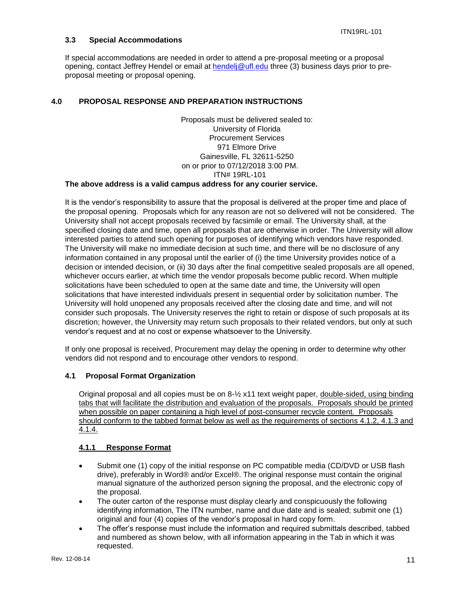#### <span id="page-10-0"></span>**3.3 Special Accommodations**

If special accommodations are needed in order to attend a pre-proposal meeting or a proposal opening, contact Jeffrey Hendel or email at hendeli@ufl.edu three (3) business days prior to preproposal meeting or proposal opening.

## <span id="page-10-1"></span>**4.0 PROPOSAL RESPONSE AND PREPARATION INSTRUCTIONS**

Proposals must be delivered sealed to: University of Florida Procurement Services 971 Elmore Drive Gainesville, FL 32611-5250 on or prior to 07/12/2018 3:00 PM. ITN# 19RL-101

#### **The above address is a valid campus address for any courier service.**

It is the vendor's responsibility to assure that the proposal is delivered at the proper time and place of the proposal opening. Proposals which for any reason are not so delivered will not be considered. The University shall not accept proposals received by facsimile or email. The University shall, at the specified closing date and time, open all proposals that are otherwise in order. The University will allow interested parties to attend such opening for purposes of identifying which vendors have responded. The University will make no immediate decision at such time, and there will be no disclosure of any information contained in any proposal until the earlier of (i) the time University provides notice of a decision or intended decision, or (ii) 30 days after the final competitive sealed proposals are all opened, whichever occurs earlier, at which time the vendor proposals become public record. When multiple solicitations have been scheduled to open at the same date and time, the University will open solicitations that have interested individuals present in sequential order by solicitation number. The University will hold unopened any proposals received after the closing date and time, and will not consider such proposals. The University reserves the right to retain or dispose of such proposals at its discretion; however, the University may return such proposals to their related vendors, but only at such vendor's request and at no cost or expense whatsoever to the University.

If only one proposal is received, Procurement may delay the opening in order to determine why other vendors did not respond and to encourage other vendors to respond.

#### <span id="page-10-2"></span>**4.1 Proposal Format Organization**

Original proposal and all copies must be on 8-½ x11 text weight paper, double-sided, using binding tabs that will facilitate the distribution and evaluation of the proposals. Proposals should be printed when possible on paper containing a high level of post-consumer recycle content. Proposals should conform to the tabbed format below as well as the requirements of sections 4.1.2, 4.1.3 and 4.1.4.

#### <span id="page-10-3"></span>**4.1.1 Response Format**

- Submit one (1) copy of the initial response on PC compatible media (CD/DVD or USB flash drive), preferably in Word® and/or Excel®. The original response must contain the original manual signature of the authorized person signing the proposal, and the electronic copy of the proposal.
- The outer carton of the response must display clearly and conspicuously the following identifying information, The ITN number, name and due date and is sealed; submit one (1) original and four (4) copies of the vendor's proposal in hard copy form.
- The offer's response must include the information and required submittals described, tabbed and numbered as shown below, with all information appearing in the Tab in which it was requested.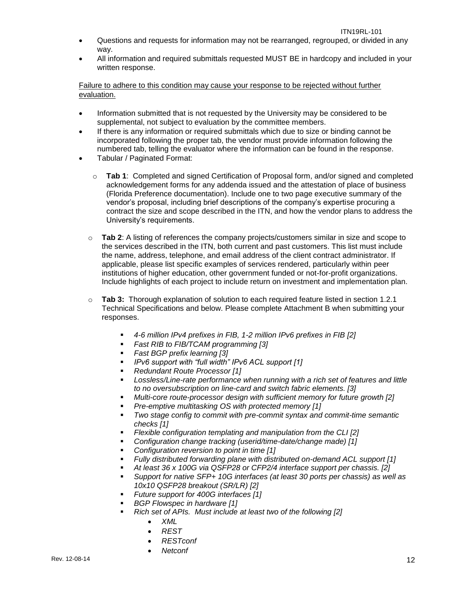- Questions and requests for information may not be rearranged, regrouped, or divided in any way.
- All information and required submittals requested MUST BE in hardcopy and included in your written response.

Failure to adhere to this condition may cause your response to be rejected without further evaluation.

- Information submitted that is not requested by the University may be considered to be supplemental, not subject to evaluation by the committee members.
- If there is any information or required submittals which due to size or binding cannot be incorporated following the proper tab, the vendor must provide information following the numbered tab, telling the evaluator where the information can be found in the response.
- Tabular / Paginated Format:
	- o **Tab 1**: Completed and signed Certification of Proposal form, and/or signed and completed acknowledgement forms for any addenda issued and the attestation of place of business (Florida Preference documentation). Include one to two page executive summary of the vendor's proposal, including brief descriptions of the company's expertise procuring a contract the size and scope described in the ITN, and how the vendor plans to address the University's requirements.
	- o **Tab 2**: A listing of references the company projects/customers similar in size and scope to the services described in the ITN, both current and past customers. This list must include the name, address, telephone, and email address of the client contract administrator. If applicable, please list specific examples of services rendered, particularly within peer institutions of higher education, other government funded or not-for-profit organizations. Include highlights of each project to include return on investment and implementation plan.
	- o **Tab 3:** Thorough explanation of solution to each required feature listed in section 1.2.1 Technical Specifications and below. Please complete Attachment B when submitting your responses.
		- *4-6 million IPv4 prefixes in FIB, 1-2 million IPv6 prefixes in FIB [2]*
		- *Fast RIB to FIB/TCAM programming [3]*
		- *Fast BGP prefix learning [3]*
		- *IPv6 support with "full width" IPv6 ACL support [1]*
		- *Redundant Route Processor [1]*
		- *Lossless/Line-rate performance when running with a rich set of features and little to no oversubscription on line-card and switch fabric elements. [3]*
		- *Multi-core route-processor design with sufficient memory for future growth [2]*
		- *Pre-emptive multitasking OS with protected memory [1]*
		- *Two stage config to commit with pre-commit syntax and commit-time semantic checks [1]*
		- *Flexible configuration templating and manipulation from the CLI [2]*
		- *Configuration change tracking (userid/time-date/change made) [1]*
		- *Configuration reversion to point in time [1]*
		- *Fully distributed forwarding plane with distributed on-demand ACL support [1]*
		- *At least 36 x 100G via QSFP28 or CFP2/4 interface support per chassis. [2]*
		- *Support for native SFP+ 10G interfaces (at least 30 ports per chassis) as well as 10x10 QSFP28 breakout (SR/LR) [2]*
		- *Future support for 400G interfaces [1]*
		- *BGP Flowspec in hardware [1]*
		- *Rich set of APIs. Must include at least two of the following [2]*
			- *XML*
			- *REST*
			- *RESTconf*
			- *Netconf*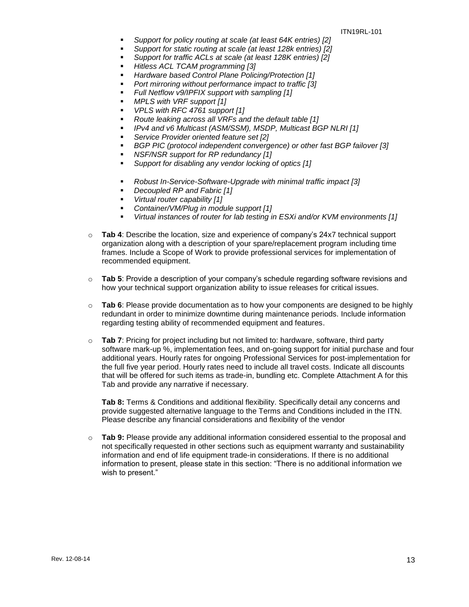- *Support for policy routing at scale (at least 64K entries) [2]*
- *Support for static routing at scale (at least 128k entries) [2]*
- *Support for traffic ACLs at scale (at least 128K entries) [2]*
- *Hitless ACL TCAM programming [3]*
- *Hardware based Control Plane Policing/Protection [1]*
- *Port mirroring without performance impact to traffic [3]*
- *Full Netflow v9/IPFIX support with sampling [1]*
- *MPLS with VRF support [1]*
- *VPLS with RFC 4761 support [1]*
- *Route leaking across all VRFs and the default table [1]*
- *IPv4 and v6 Multicast (ASM/SSM), MSDP, Multicast BGP NLRI [1]*
- *Service Provider oriented feature set [2]*
- *BGP PIC (protocol independent convergence) or other fast BGP failover [3]*
- *NSF/NSR support for RP redundancy [1]*
- *Support for disabling any vendor locking of optics [1]*
- *Robust In-Service-Software-Upgrade with minimal traffic impact [3]*
- *Decoupled RP and Fabric [1]*
- *Virtual router capability [1]*
- *Container/VM/Plug in module support [1]*
- *Virtual instances of router for lab testing in ESXi and/or KVM environments [1]*
- o **Tab 4**: Describe the location, size and experience of company's 24x7 technical support organization along with a description of your spare/replacement program including time frames. Include a Scope of Work to provide professional services for implementation of recommended equipment.
- o **Tab 5**: Provide a description of your company's schedule regarding software revisions and how your technical support organization ability to issue releases for critical issues.
- o **Tab 6**: Please provide documentation as to how your components are designed to be highly redundant in order to minimize downtime during maintenance periods. Include information regarding testing ability of recommended equipment and features.
- o **Tab 7**: Pricing for project including but not limited to: hardware, software, third party software mark-up %, implementation fees, and on-going support for initial purchase and four additional years. Hourly rates for ongoing Professional Services for post-implementation for the full five year period. Hourly rates need to include all travel costs. Indicate all discounts that will be offered for such items as trade-in, bundling etc. Complete Attachment A for this Tab and provide any narrative if necessary.

**Tab 8:** Terms & Conditions and additional flexibility. Specifically detail any concerns and provide suggested alternative language to the Terms and Conditions included in the ITN. Please describe any financial considerations and flexibility of the vendor

o **Tab 9:** Please provide any additional information considered essential to the proposal and not specifically requested in other sections such as equipment warranty and sustainability information and end of life equipment trade-in considerations. If there is no additional information to present, please state in this section: "There is no additional information we wish to present."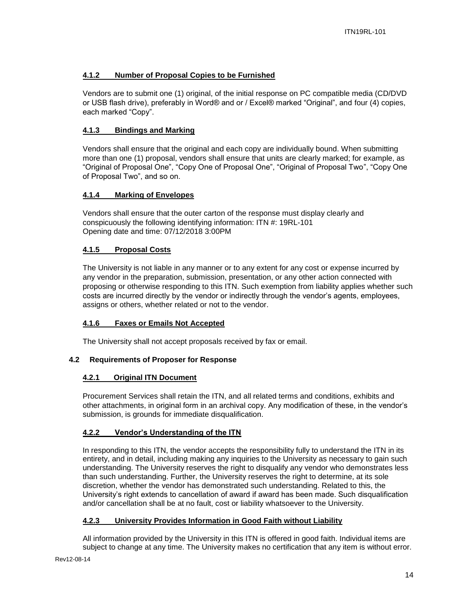# <span id="page-13-0"></span>**4.1.2 Number of Proposal Copies to be Furnished**

Vendors are to submit one (1) original, of the initial response on PC compatible media (CD/DVD or USB flash drive), preferably in Word® and or / Excel® marked "Original", and four (4) copies, each marked "Copy".

# <span id="page-13-1"></span>**4.1.3 Bindings and Marking**

Vendors shall ensure that the original and each copy are individually bound. When submitting more than one (1) proposal, vendors shall ensure that units are clearly marked; for example, as "Original of Proposal One", "Copy One of Proposal One", "Original of Proposal Two", "Copy One of Proposal Two", and so on.

# <span id="page-13-2"></span>**4.1.4 Marking of Envelopes**

Vendors shall ensure that the outer carton of the response must display clearly and conspicuously the following identifying information: ITN #: 19RL-101 Opening date and time: 07/12/2018 3:00PM

# <span id="page-13-3"></span>**4.1.5 Proposal Costs**

The University is not liable in any manner or to any extent for any cost or expense incurred by any vendor in the preparation, submission, presentation, or any other action connected with proposing or otherwise responding to this ITN. Such exemption from liability applies whether such costs are incurred directly by the vendor or indirectly through the vendor's agents, employees, assigns or others, whether related or not to the vendor.

# <span id="page-13-4"></span>**4.1.6 Faxes or Emails Not Accepted**

The University shall not accept proposals received by fax or email.

# <span id="page-13-6"></span><span id="page-13-5"></span>**4.2 Requirements of Proposer for Response**

# **4.2.1 Original ITN Document**

Procurement Services shall retain the ITN, and all related terms and conditions, exhibits and other attachments, in original form in an archival copy. Any modification of these, in the vendor's submission, is grounds for immediate disqualification.

# <span id="page-13-7"></span>**4.2.2 Vendor's Understanding of the ITN**

In responding to this ITN, the vendor accepts the responsibility fully to understand the ITN in its entirety, and in detail, including making any inquiries to the University as necessary to gain such understanding. The University reserves the right to disqualify any vendor who demonstrates less than such understanding. Further, the University reserves the right to determine, at its sole discretion, whether the vendor has demonstrated such understanding. Related to this, the University's right extends to cancellation of award if award has been made. Such disqualification and/or cancellation shall be at no fault, cost or liability whatsoever to the University.

# <span id="page-13-8"></span>**4.2.3 University Provides Information in Good Faith without Liability**

All information provided by the University in this ITN is offered in good faith. Individual items are subject to change at any time. The University makes no certification that any item is without error.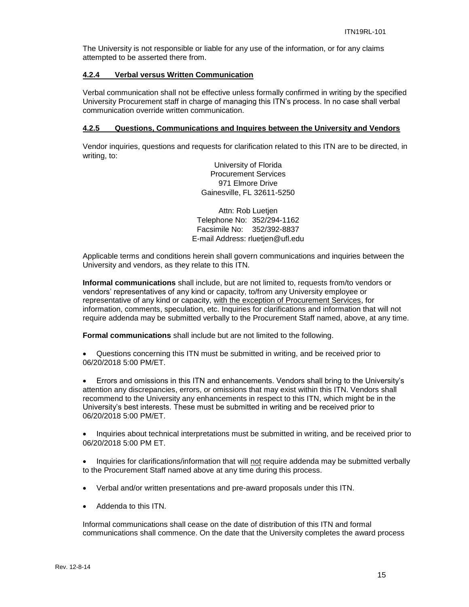The University is not responsible or liable for any use of the information, or for any claims attempted to be asserted there from.

#### <span id="page-14-0"></span>**4.2.4 Verbal versus Written Communication**

Verbal communication shall not be effective unless formally confirmed in writing by the specified University Procurement staff in charge of managing this ITN's process. In no case shall verbal communication override written communication.

#### <span id="page-14-1"></span>**4.2.5 Questions, Communications and Inquires between the University and Vendors**

Vendor inquiries, questions and requests for clarification related to this ITN are to be directed, in writing, to:

> University of Florida Procurement Services 971 Elmore Drive Gainesville, FL 32611-5250

Attn: Rob Luetjen Telephone No: 352/294-1162 Facsimile No: 352/392-8837 E-mail Address: rluetjen@ufl.edu

Applicable terms and conditions herein shall govern communications and inquiries between the University and vendors, as they relate to this ITN.

**Informal communications** shall include, but are not limited to, requests from/to vendors or vendors' representatives of any kind or capacity, to/from any University employee or representative of any kind or capacity, with the exception of Procurement Services, for information, comments, speculation, etc. Inquiries for clarifications and information that will not require addenda may be submitted verbally to the Procurement Staff named, above, at any time.

**Formal communications** shall include but are not limited to the following.

 Questions concerning this ITN must be submitted in writing, and be received prior to 06/20/2018 5:00 PM/ET.

 Errors and omissions in this ITN and enhancements. Vendors shall bring to the University's attention any discrepancies, errors, or omissions that may exist within this ITN. Vendors shall recommend to the University any enhancements in respect to this ITN, which might be in the University's best interests. These must be submitted in writing and be received prior to 06/20/2018 5:00 PM/ET.

 Inquiries about technical interpretations must be submitted in writing, and be received prior to 06/20/2018 5:00 PM ET.

• Inquiries for clarifications/information that will not require addenda may be submitted verbally to the Procurement Staff named above at any time during this process.

- Verbal and/or written presentations and pre-award proposals under this ITN.
- Addenda to this ITN.

Informal communications shall cease on the date of distribution of this ITN and formal communications shall commence. On the date that the University completes the award process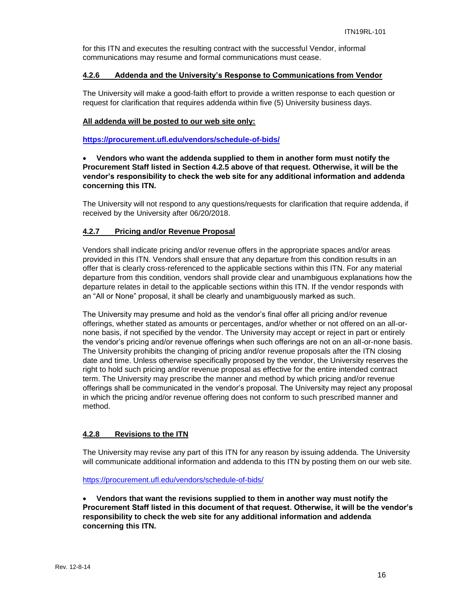for this ITN and executes the resulting contract with the successful Vendor, informal communications may resume and formal communications must cease.

#### <span id="page-15-0"></span>**4.2.6 Addenda and the University's Response to Communications from Vendor**

The University will make a good-faith effort to provide a written response to each question or request for clarification that requires addenda within five (5) University business days.

#### **All addenda will be posted to our web site only:**

**<https://procurement.ufl.edu/vendors/schedule-of-bids/>**

#### **Vendors who want the addenda supplied to them in another form must notify the Procurement Staff listed in Section 4.2.5 above of that request. Otherwise, it will be the vendor's responsibility to check the web site for any additional information and addenda concerning this ITN.**

The University will not respond to any questions/requests for clarification that require addenda, if received by the University after 06/20/2018.

#### <span id="page-15-1"></span>**4.2.7 Pricing and/or Revenue Proposal**

Vendors shall indicate pricing and/or revenue offers in the appropriate spaces and/or areas provided in this ITN. Vendors shall ensure that any departure from this condition results in an offer that is clearly cross-referenced to the applicable sections within this ITN. For any material departure from this condition, vendors shall provide clear and unambiguous explanations how the departure relates in detail to the applicable sections within this ITN. If the vendor responds with an "All or None" proposal, it shall be clearly and unambiguously marked as such.

The University may presume and hold as the vendor's final offer all pricing and/or revenue offerings, whether stated as amounts or percentages, and/or whether or not offered on an all-ornone basis, if not specified by the vendor. The University may accept or reject in part or entirely the vendor's pricing and/or revenue offerings when such offerings are not on an all-or-none basis. The University prohibits the changing of pricing and/or revenue proposals after the ITN closing date and time. Unless otherwise specifically proposed by the vendor, the University reserves the right to hold such pricing and/or revenue proposal as effective for the entire intended contract term. The University may prescribe the manner and method by which pricing and/or revenue offerings shall be communicated in the vendor's proposal. The University may reject any proposal in which the pricing and/or revenue offering does not conform to such prescribed manner and method.

## <span id="page-15-2"></span>**4.2.8 Revisions to the ITN**

The University may revise any part of this ITN for any reason by issuing addenda. The University will communicate additional information and addenda to this ITN by posting them on our web site.

<https://procurement.ufl.edu/vendors/schedule-of-bids/>

 **Vendors that want the revisions supplied to them in another way must notify the Procurement Staff listed in this document of that request. Otherwise, it will be the vendor's responsibility to check the web site for any additional information and addenda concerning this ITN.**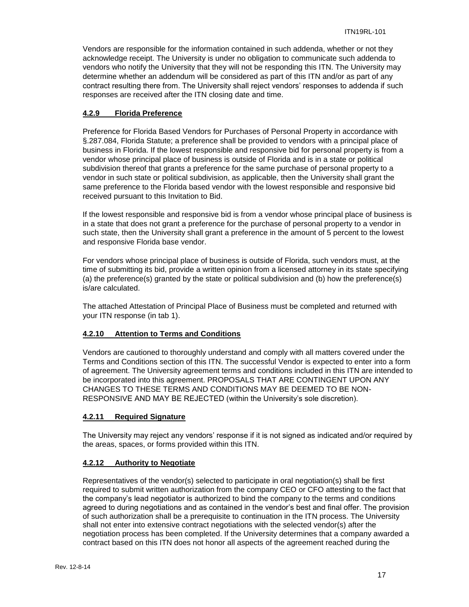Vendors are responsible for the information contained in such addenda, whether or not they acknowledge receipt. The University is under no obligation to communicate such addenda to vendors who notify the University that they will not be responding this ITN. The University may determine whether an addendum will be considered as part of this ITN and/or as part of any contract resulting there from. The University shall reject vendors' responses to addenda if such responses are received after the ITN closing date and time.

## <span id="page-16-0"></span>**4.2.9 Florida Preference**

Preference for Florida Based Vendors for Purchases of Personal Property in accordance with §.287.084, Florida Statute; a preference shall be provided to vendors with a principal place of business in Florida. If the lowest responsible and responsive bid for personal property is from a vendor whose principal place of business is outside of Florida and is in a state or political subdivision thereof that grants a preference for the same purchase of personal property to a vendor in such state or political subdivision, as applicable, then the University shall grant the same preference to the Florida based vendor with the lowest responsible and responsive bid received pursuant to this Invitation to Bid.

If the lowest responsible and responsive bid is from a vendor whose principal place of business is in a state that does not grant a preference for the purchase of personal property to a vendor in such state, then the University shall grant a preference in the amount of 5 percent to the lowest and responsive Florida base vendor.

For vendors whose principal place of business is outside of Florida, such vendors must, at the time of submitting its bid, provide a written opinion from a licensed attorney in its state specifying (a) the preference(s) granted by the state or political subdivision and (b) how the preference(s) is/are calculated.

The attached Attestation of Principal Place of Business must be completed and returned with your ITN response (in tab 1).

#### <span id="page-16-1"></span>**4.2.10 Attention to Terms and Conditions**

Vendors are cautioned to thoroughly understand and comply with all matters covered under the Terms and Conditions section of this ITN. The successful Vendor is expected to enter into a form of agreement. The University agreement terms and conditions included in this ITN are intended to be incorporated into this agreement. PROPOSALS THAT ARE CONTINGENT UPON ANY CHANGES TO THESE TERMS AND CONDITIONS MAY BE DEEMED TO BE NON-RESPONSIVE AND MAY BE REJECTED (within the University's sole discretion).

#### <span id="page-16-2"></span>**4.2.11 Required Signature**

The University may reject any vendors' response if it is not signed as indicated and/or required by the areas, spaces, or forms provided within this ITN.

#### <span id="page-16-3"></span>**4.2.12 Authority to Negotiate**

Representatives of the vendor(s) selected to participate in oral negotiation(s) shall be first required to submit written authorization from the company CEO or CFO attesting to the fact that the company's lead negotiator is authorized to bind the company to the terms and conditions agreed to during negotiations and as contained in the vendor's best and final offer. The provision of such authorization shall be a prerequisite to continuation in the ITN process. The University shall not enter into extensive contract negotiations with the selected vendor(s) after the negotiation process has been completed. If the University determines that a company awarded a contract based on this ITN does not honor all aspects of the agreement reached during the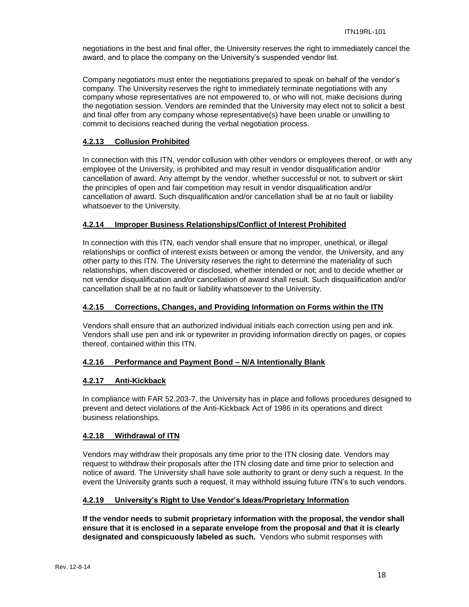negotiations in the best and final offer, the University reserves the right to immediately cancel the award, and to place the company on the University's suspended vendor list.

Company negotiators must enter the negotiations prepared to speak on behalf of the vendor's company. The University reserves the right to immediately terminate negotiations with any company whose representatives are not empowered to, or who will not, make decisions during the negotiation session. Vendors are reminded that the University may elect not to solicit a best and final offer from any company whose representative(s) have been unable or unwilling to commit to decisions reached during the verbal negotiation process.

# <span id="page-17-0"></span>**4.2.13 Collusion Prohibited**

In connection with this ITN, vendor collusion with other vendors or employees thereof, or with any employee of the University, is prohibited and may result in vendor disqualification and/or cancellation of award. Any attempt by the vendor, whether successful or not, to subvert or skirt the principles of open and fair competition may result in vendor disqualification and/or cancellation of award. Such disqualification and/or cancellation shall be at no fault or liability whatsoever to the University.

#### <span id="page-17-1"></span>**4.2.14 Improper Business Relationships/Conflict of Interest Prohibited**

In connection with this ITN, each vendor shall ensure that no improper, unethical, or illegal relationships or conflict of interest exists between or among the vendor, the University, and any other party to this ITN. The University reserves the right to determine the materiality of such relationships, when discovered or disclosed, whether intended or not; and to decide whether or not vendor disqualification and/or cancellation of award shall result. Such disqualification and/or cancellation shall be at no fault or liability whatsoever to the University.

#### <span id="page-17-2"></span>**4.2.15 Corrections, Changes, and Providing Information on Forms within the ITN**

Vendors shall ensure that an authorized individual initials each correction using pen and ink. Vendors shall use pen and ink or typewriter in providing information directly on pages, or copies thereof, contained within this ITN.

# <span id="page-17-3"></span>**4.2.16 Performance and Payment Bond – N/A Intentionally Blank**

#### <span id="page-17-4"></span>**4.2.17 Anti-Kickback**

In compliance with FAR 52.203-7, the University has in place and follows procedures designed to prevent and detect violations of the Anti-Kickback Act of 1986 in its operations and direct business relationships.

# <span id="page-17-5"></span>**4.2.18 Withdrawal of ITN**

Vendors may withdraw their proposals any time prior to the ITN closing date. Vendors may request to withdraw their proposals after the ITN closing date and time prior to selection and notice of award. The University shall have sole authority to grant or deny such a request. In the event the University grants such a request, it may withhold issuing future ITN's to such vendors.

#### <span id="page-17-6"></span>**4.2.19 University's Right to Use Vendor's Ideas/Proprietary Information**

**If the vendor needs to submit proprietary information with the proposal, the vendor shall ensure that it is enclosed in a separate envelope from the proposal and that it is clearly designated and conspicuously labeled as such.** Vendors who submit responses with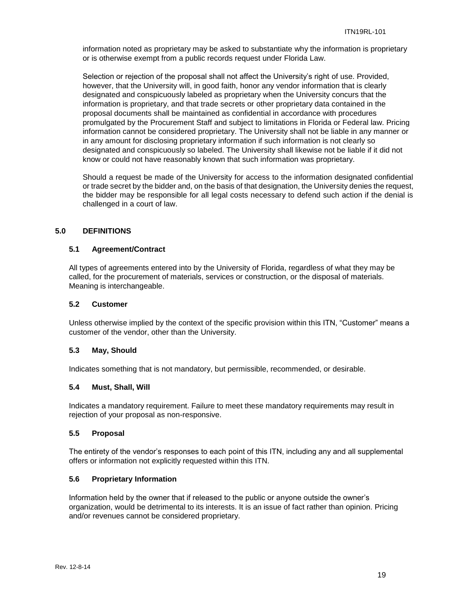information noted as proprietary may be asked to substantiate why the information is proprietary or is otherwise exempt from a public records request under Florida Law.

Selection or rejection of the proposal shall not affect the University's right of use. Provided, however, that the University will, in good faith, honor any vendor information that is clearly designated and conspicuously labeled as proprietary when the University concurs that the information is proprietary, and that trade secrets or other proprietary data contained in the proposal documents shall be maintained as confidential in accordance with procedures promulgated by the Procurement Staff and subject to limitations in Florida or Federal law. Pricing information cannot be considered proprietary. The University shall not be liable in any manner or in any amount for disclosing proprietary information if such information is not clearly so designated and conspicuously so labeled. The University shall likewise not be liable if it did not know or could not have reasonably known that such information was proprietary.

Should a request be made of the University for access to the information designated confidential or trade secret by the bidder and, on the basis of that designation, the University denies the request, the bidder may be responsible for all legal costs necessary to defend such action if the denial is challenged in a court of law.

#### <span id="page-18-0"></span>**5.0 DEFINITIONS**

#### <span id="page-18-1"></span>**5.1 Agreement/Contract**

All types of agreements entered into by the University of Florida, regardless of what they may be called, for the procurement of materials, services or construction, or the disposal of materials. Meaning is interchangeable.

# <span id="page-18-2"></span>**5.2 Customer**

Unless otherwise implied by the context of the specific provision within this ITN, "Customer" means a customer of the vendor, other than the University.

# <span id="page-18-3"></span>**5.3 May, Should**

Indicates something that is not mandatory, but permissible, recommended, or desirable.

#### <span id="page-18-4"></span>**5.4 Must, Shall, Will**

Indicates a mandatory requirement. Failure to meet these mandatory requirements may result in reiection of your proposal as non-responsive.

#### <span id="page-18-5"></span>**5.5 Proposal**

The entirety of the vendor's responses to each point of this ITN, including any and all supplemental offers or information not explicitly requested within this ITN.

# <span id="page-18-6"></span>**5.6 Proprietary Information**

Information held by the owner that if released to the public or anyone outside the owner's organization, would be detrimental to its interests. It is an issue of fact rather than opinion. Pricing and/or revenues cannot be considered proprietary.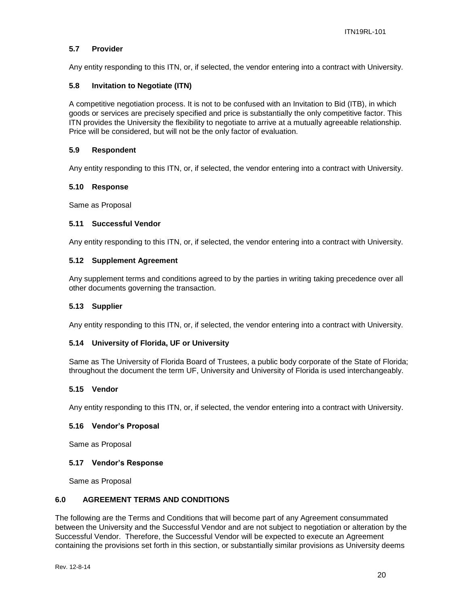# <span id="page-19-0"></span>**5.7 Provider**

Any entity responding to this ITN, or, if selected, the vendor entering into a contract with University.

#### <span id="page-19-1"></span>**5.8 Invitation to Negotiate (ITN)**

A competitive negotiation process. It is not to be confused with an Invitation to Bid (ITB), in which goods or services are precisely specified and price is substantially the only competitive factor. This ITN provides the University the flexibility to negotiate to arrive at a mutually agreeable relationship. Price will be considered, but will not be the only factor of evaluation.

#### <span id="page-19-2"></span>**5.9 Respondent**

Any entity responding to this ITN, or, if selected, the vendor entering into a contract with University.

#### <span id="page-19-3"></span>**5.10 Response**

Same as Proposal

#### <span id="page-19-4"></span>**5.11 Successful Vendor**

Any entity responding to this ITN, or, if selected, the vendor entering into a contract with University.

#### <span id="page-19-5"></span>**5.12 Supplement Agreement**

Any supplement terms and conditions agreed to by the parties in writing taking precedence over all other documents governing the transaction.

#### <span id="page-19-6"></span>**5.13 Supplier**

Any entity responding to this ITN, or, if selected, the vendor entering into a contract with University.

#### <span id="page-19-7"></span>**5.14 University of Florida, UF or University**

Same as The University of Florida Board of Trustees, a public body corporate of the State of Florida; throughout the document the term UF, University and University of Florida is used interchangeably.

#### <span id="page-19-8"></span>**5.15 Vendor**

Any entity responding to this ITN, or, if selected, the vendor entering into a contract with University.

#### <span id="page-19-9"></span>**5.16 Vendor's Proposal**

Same as Proposal

#### <span id="page-19-10"></span>**5.17 Vendor's Response**

Same as Proposal

#### <span id="page-19-11"></span>**6.0 AGREEMENT TERMS AND CONDITIONS**

The following are the Terms and Conditions that will become part of any Agreement consummated between the University and the Successful Vendor and are not subject to negotiation or alteration by the Successful Vendor. Therefore, the Successful Vendor will be expected to execute an Agreement containing the provisions set forth in this section, or substantially similar provisions as University deems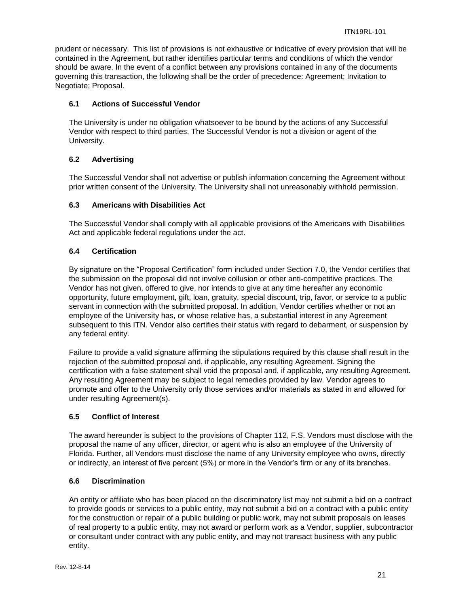prudent or necessary. This list of provisions is not exhaustive or indicative of every provision that will be contained in the Agreement, but rather identifies particular terms and conditions of which the vendor should be aware. In the event of a conflict between any provisions contained in any of the documents governing this transaction, the following shall be the order of precedence: Agreement; Invitation to Negotiate; Proposal.

# <span id="page-20-0"></span>**6.1 Actions of Successful Vendor**

The University is under no obligation whatsoever to be bound by the actions of any Successful Vendor with respect to third parties. The Successful Vendor is not a division or agent of the University.

# <span id="page-20-1"></span>**6.2 Advertising**

The Successful Vendor shall not advertise or publish information concerning the Agreement without prior written consent of the University. The University shall not unreasonably withhold permission.

# <span id="page-20-2"></span>**6.3 Americans with Disabilities Act**

The Successful Vendor shall comply with all applicable provisions of the Americans with Disabilities Act and applicable federal regulations under the act.

# <span id="page-20-3"></span>**6.4 Certification**

By signature on the "Proposal Certification" form included under Section 7.0, the Vendor certifies that the submission on the proposal did not involve collusion or other anti-competitive practices. The Vendor has not given, offered to give, nor intends to give at any time hereafter any economic opportunity, future employment, gift, loan, gratuity, special discount, trip, favor, or service to a public servant in connection with the submitted proposal. In addition, Vendor certifies whether or not an employee of the University has, or whose relative has, a substantial interest in any Agreement subsequent to this ITN. Vendor also certifies their status with regard to debarment, or suspension by any federal entity.

Failure to provide a valid signature affirming the stipulations required by this clause shall result in the rejection of the submitted proposal and, if applicable, any resulting Agreement. Signing the certification with a false statement shall void the proposal and, if applicable, any resulting Agreement. Any resulting Agreement may be subject to legal remedies provided by law. Vendor agrees to promote and offer to the University only those services and/or materials as stated in and allowed for under resulting Agreement(s).

# <span id="page-20-4"></span>**6.5 Conflict of Interest**

The award hereunder is subject to the provisions of Chapter 112, F.S. Vendors must disclose with the proposal the name of any officer, director, or agent who is also an employee of the University of Florida. Further, all Vendors must disclose the name of any University employee who owns, directly or indirectly, an interest of five percent (5%) or more in the Vendor's firm or any of its branches.

# <span id="page-20-5"></span>**6.6 Discrimination**

An entity or affiliate who has been placed on the discriminatory list may not submit a bid on a contract to provide goods or services to a public entity, may not submit a bid on a contract with a public entity for the construction or repair of a public building or public work, may not submit proposals on leases of real property to a public entity, may not award or perform work as a Vendor, supplier, subcontractor or consultant under contract with any public entity, and may not transact business with any public entity.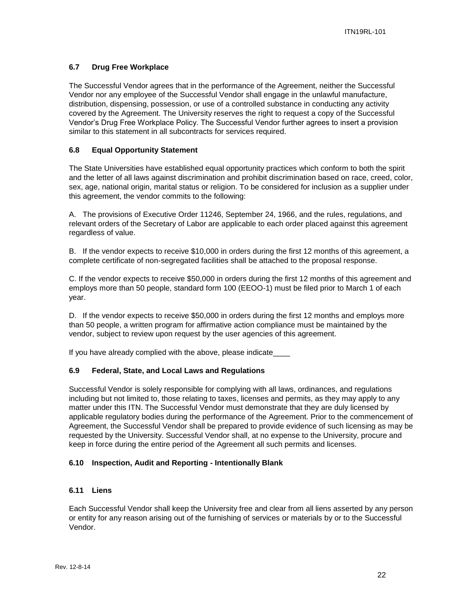## <span id="page-21-0"></span>**6.7 Drug Free Workplace**

The Successful Vendor agrees that in the performance of the Agreement, neither the Successful Vendor nor any employee of the Successful Vendor shall engage in the unlawful manufacture, distribution, dispensing, possession, or use of a controlled substance in conducting any activity covered by the Agreement. The University reserves the right to request a copy of the Successful Vendor's Drug Free Workplace Policy. The Successful Vendor further agrees to insert a provision similar to this statement in all subcontracts for services required.

#### <span id="page-21-1"></span>**6.8 Equal Opportunity Statement**

The State Universities have established equal opportunity practices which conform to both the spirit and the letter of all laws against discrimination and prohibit discrimination based on race, creed, color, sex, age, national origin, marital status or religion. To be considered for inclusion as a supplier under this agreement, the vendor commits to the following:

A. The provisions of Executive Order 11246, September 24, 1966, and the rules, regulations, and relevant orders of the Secretary of Labor are applicable to each order placed against this agreement regardless of value.

B. If the vendor expects to receive \$10,000 in orders during the first 12 months of this agreement, a complete certificate of non-segregated facilities shall be attached to the proposal response.

C. If the vendor expects to receive \$50,000 in orders during the first 12 months of this agreement and employs more than 50 people, standard form 100 (EEOO-1) must be filed prior to March 1 of each year.

D. If the vendor expects to receive \$50,000 in orders during the first 12 months and employs more than 50 people, a written program for affirmative action compliance must be maintained by the vendor, subject to review upon request by the user agencies of this agreement.

If you have already complied with the above, please indicate

#### <span id="page-21-2"></span>**6.9 Federal, State, and Local Laws and Regulations**

Successful Vendor is solely responsible for complying with all laws, ordinances, and regulations including but not limited to, those relating to taxes, licenses and permits, as they may apply to any matter under this ITN. The Successful Vendor must demonstrate that they are duly licensed by applicable regulatory bodies during the performance of the Agreement. Prior to the commencement of Agreement, the Successful Vendor shall be prepared to provide evidence of such licensing as may be requested by the University. Successful Vendor shall, at no expense to the University, procure and keep in force during the entire period of the Agreement all such permits and licenses.

#### <span id="page-21-3"></span>**6.10 Inspection, Audit and Reporting - Intentionally Blank**

## <span id="page-21-4"></span>**6.11 Liens**

Each Successful Vendor shall keep the University free and clear from all liens asserted by any person or entity for any reason arising out of the furnishing of services or materials by or to the Successful Vendor.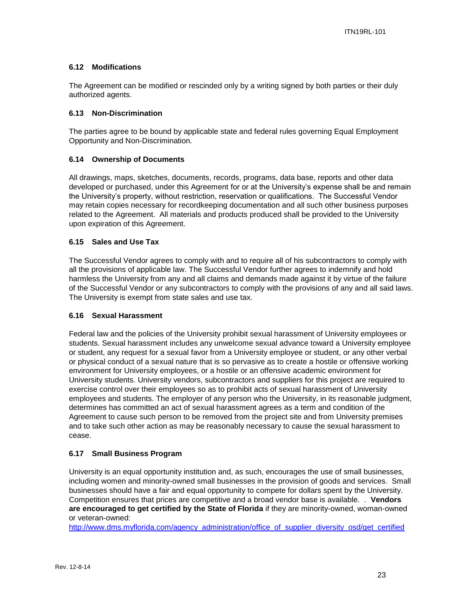# <span id="page-22-0"></span>**6.12 Modifications**

The Agreement can be modified or rescinded only by a writing signed by both parties or their duly authorized agents.

#### <span id="page-22-1"></span>**6.13 Non-Discrimination**

The parties agree to be bound by applicable state and federal rules governing Equal Employment Opportunity and Non-Discrimination.

#### <span id="page-22-2"></span>**6.14 Ownership of Documents**

All drawings, maps, sketches, documents, records, programs, data base, reports and other data developed or purchased, under this Agreement for or at the University's expense shall be and remain the University's property, without restriction, reservation or qualifications. The Successful Vendor may retain copies necessary for recordkeeping documentation and all such other business purposes related to the Agreement. All materials and products produced shall be provided to the University upon expiration of this Agreement.

#### <span id="page-22-3"></span>**6.15 Sales and Use Tax**

The Successful Vendor agrees to comply with and to require all of his subcontractors to comply with all the provisions of applicable law. The Successful Vendor further agrees to indemnify and hold harmless the University from any and all claims and demands made against it by virtue of the failure of the Successful Vendor or any subcontractors to comply with the provisions of any and all said laws. The University is exempt from state sales and use tax.

#### <span id="page-22-4"></span>**6.16 Sexual Harassment**

Federal law and the policies of the University prohibit sexual harassment of University employees or students. Sexual harassment includes any unwelcome sexual advance toward a University employee or student, any request for a sexual favor from a University employee or student, or any other verbal or physical conduct of a sexual nature that is so pervasive as to create a hostile or offensive working environment for University employees, or a hostile or an offensive academic environment for University students. University vendors, subcontractors and suppliers for this project are required to exercise control over their employees so as to prohibit acts of sexual harassment of University employees and students. The employer of any person who the University, in its reasonable judgment, determines has committed an act of sexual harassment agrees as a term and condition of the Agreement to cause such person to be removed from the project site and from University premises and to take such other action as may be reasonably necessary to cause the sexual harassment to cease.

# <span id="page-22-5"></span>**6.17 Small Business Program**

University is an equal opportunity institution and, as such, encourages the use of small businesses, including women and minority-owned small businesses in the provision of goods and services. Small businesses should have a fair and equal opportunity to compete for dollars spent by the University. Competition ensures that prices are competitive and a broad vendor base is available. . **Vendors are encouraged to get certified by the State of Florida** if they are minority-owned, woman-owned or veteran-owned:

[http://www.dms.myflorida.com/agency\\_administration/office\\_of\\_supplier\\_diversity\\_osd/get\\_certified](http://www.dms.myflorida.com/agency_administration/office_of_supplier_diversity_osd/get_certified)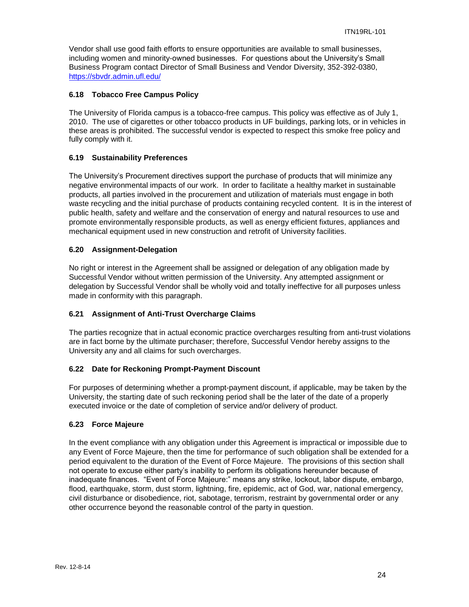Vendor shall use good faith efforts to ensure opportunities are available to small businesses, including women and minority-owned businesses. For questions about the University's Small Business Program contact Director of Small Business and Vendor Diversity, 352-392-0380, <https://sbvdr.admin.ufl.edu/>

## <span id="page-23-0"></span>**6.18 Tobacco Free Campus Policy**

The University of Florida campus is a tobacco-free campus. This policy was effective as of July 1, 2010. The use of cigarettes or other tobacco products in UF buildings, parking lots, or in vehicles in these areas is prohibited. The successful vendor is expected to respect this smoke free policy and fully comply with it.

#### <span id="page-23-1"></span>**6.19 Sustainability Preferences**

The University's Procurement directives support the purchase of products that will minimize any negative environmental impacts of our work. In order to facilitate a healthy market in sustainable products, all parties involved in the procurement and utilization of materials must engage in both waste recycling and the initial purchase of products containing recycled content. It is in the interest of public health, safety and welfare and the conservation of energy and natural resources to use and promote environmentally responsible products, as well as energy efficient fixtures, appliances and mechanical equipment used in new construction and retrofit of University facilities.

#### <span id="page-23-2"></span>**6.20 Assignment-Delegation**

No right or interest in the Agreement shall be assigned or delegation of any obligation made by Successful Vendor without written permission of the University. Any attempted assignment or delegation by Successful Vendor shall be wholly void and totally ineffective for all purposes unless made in conformity with this paragraph.

# <span id="page-23-3"></span>**6.21 Assignment of Anti-Trust Overcharge Claims**

The parties recognize that in actual economic practice overcharges resulting from anti-trust violations are in fact borne by the ultimate purchaser; therefore, Successful Vendor hereby assigns to the University any and all claims for such overcharges.

# <span id="page-23-4"></span>**6.22 Date for Reckoning Prompt-Payment Discount**

For purposes of determining whether a prompt-payment discount, if applicable, may be taken by the University, the starting date of such reckoning period shall be the later of the date of a properly executed invoice or the date of completion of service and/or delivery of product.

# <span id="page-23-5"></span>**6.23 Force Majeure**

In the event compliance with any obligation under this Agreement is impractical or impossible due to any Event of Force Majeure, then the time for performance of such obligation shall be extended for a period equivalent to the duration of the Event of Force Majeure. The provisions of this section shall not operate to excuse either party's inability to perform its obligations hereunder because of inadequate finances. "Event of Force Majeure:" means any strike, lockout, labor dispute, embargo, flood, earthquake, storm, dust storm, lightning, fire, epidemic, act of God, war, national emergency, civil disturbance or disobedience, riot, sabotage, terrorism, restraint by governmental order or any other occurrence beyond the reasonable control of the party in question.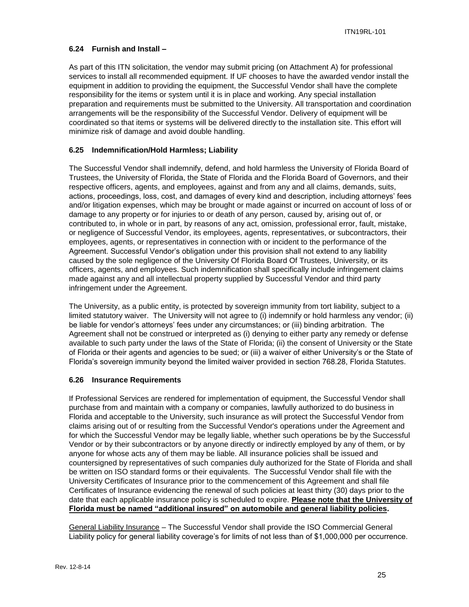#### <span id="page-24-0"></span>**6.24 Furnish and Install –**

As part of this ITN solicitation, the vendor may submit pricing (on Attachment A) for professional services to install all recommended equipment. If UF chooses to have the awarded vendor install the equipment in addition to providing the equipment, the Successful Vendor shall have the complete responsibility for the items or system until it is in place and working. Any special installation preparation and requirements must be submitted to the University. All transportation and coordination arrangements will be the responsibility of the Successful Vendor. Delivery of equipment will be coordinated so that items or systems will be delivered directly to the installation site. This effort will minimize risk of damage and avoid double handling.

#### <span id="page-24-1"></span>**6.25 Indemnification/Hold Harmless; Liability**

The Successful Vendor shall indemnify, defend, and hold harmless the University of Florida Board of Trustees, the University of Florida, the State of Florida and the Florida Board of Governors, and their respective officers, agents, and employees, against and from any and all claims, demands, suits, actions, proceedings, loss, cost, and damages of every kind and description, including attorneys' fees and/or litigation expenses, which may be brought or made against or incurred on account of loss of or damage to any property or for injuries to or death of any person, caused by, arising out of, or contributed to, in whole or in part, by reasons of any act, omission, professional error, fault, mistake, or negligence of Successful Vendor, its employees, agents, representatives, or subcontractors, their employees, agents, or representatives in connection with or incident to the performance of the Agreement. Successful Vendor's obligation under this provision shall not extend to any liability caused by the sole negligence of the University Of Florida Board Of Trustees, University, or its officers, agents, and employees. Such indemnification shall specifically include infringement claims made against any and all intellectual property supplied by Successful Vendor and third party infringement under the Agreement.

The University, as a public entity, is protected by sovereign immunity from tort liability, subject to a limited statutory waiver. The University will not agree to (i) indemnify or hold harmless any vendor; (ii) be liable for vendor's attorneys' fees under any circumstances; or (iii) binding arbitration. The Agreement shall not be construed or interpreted as (i) denying to either party any remedy or defense available to such party under the laws of the State of Florida; (ii) the consent of University or the State of Florida or their agents and agencies to be sued; or (iii) a waiver of either University's or the State of Florida's sovereign immunity beyond the limited waiver provided in section 768.28, Florida Statutes.

#### <span id="page-24-2"></span>**6.26 Insurance Requirements**

If Professional Services are rendered for implementation of equipment, the Successful Vendor shall purchase from and maintain with a company or companies, lawfully authorized to do business in Florida and acceptable to the University, such insurance as will protect the Successful Vendor from claims arising out of or resulting from the Successful Vendor's operations under the Agreement and for which the Successful Vendor may be legally liable, whether such operations be by the Successful Vendor or by their subcontractors or by anyone directly or indirectly employed by any of them, or by anyone for whose acts any of them may be liable. All insurance policies shall be issued and countersigned by representatives of such companies duly authorized for the State of Florida and shall be written on ISO standard forms or their equivalents. The Successful Vendor shall file with the University Certificates of Insurance prior to the commencement of this Agreement and shall file Certificates of Insurance evidencing the renewal of such policies at least thirty (30) days prior to the date that each applicable insurance policy is scheduled to expire. **Please note that the University of Florida must be named "additional insured" on automobile and general liability policies.**

General Liability Insurance - The Successful Vendor shall provide the ISO Commercial General Liability policy for general liability coverage's for limits of not less than of \$1,000,000 per occurrence.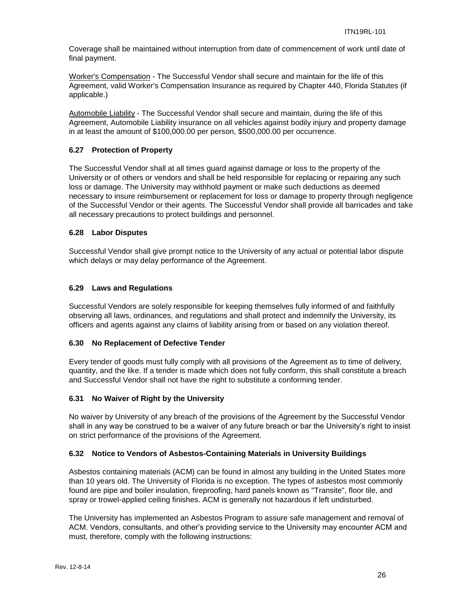Coverage shall be maintained without interruption from date of commencement of work until date of final payment.

Worker's Compensation - The Successful Vendor shall secure and maintain for the life of this Agreement, valid Worker's Compensation Insurance as required by Chapter 440, Florida Statutes (if applicable.)

Automobile Liability - The Successful Vendor shall secure and maintain, during the life of this Agreement, Automobile Liability insurance on all vehicles against bodily injury and property damage in at least the amount of \$100,000.00 per person, \$500,000.00 per occurrence.

# <span id="page-25-0"></span>**6.27 Protection of Property**

The Successful Vendor shall at all times guard against damage or loss to the property of the University or of others or vendors and shall be held responsible for replacing or repairing any such loss or damage. The University may withhold payment or make such deductions as deemed necessary to insure reimbursement or replacement for loss or damage to property through negligence of the Successful Vendor or their agents. The Successful Vendor shall provide all barricades and take all necessary precautions to protect buildings and personnel.

# <span id="page-25-1"></span>**6.28 Labor Disputes**

Successful Vendor shall give prompt notice to the University of any actual or potential labor dispute which delays or may delay performance of the Agreement.

# <span id="page-25-2"></span>**6.29 Laws and Regulations**

Successful Vendors are solely responsible for keeping themselves fully informed of and faithfully observing all laws, ordinances, and regulations and shall protect and indemnify the University, its officers and agents against any claims of liability arising from or based on any violation thereof.

# <span id="page-25-3"></span>**6.30 No Replacement of Defective Tender**

Every tender of goods must fully comply with all provisions of the Agreement as to time of delivery, quantity, and the like. If a tender is made which does not fully conform, this shall constitute a breach and Successful Vendor shall not have the right to substitute a conforming tender.

# <span id="page-25-4"></span>**6.31 No Waiver of Right by the University**

No waiver by University of any breach of the provisions of the Agreement by the Successful Vendor shall in any way be construed to be a waiver of any future breach or bar the University's right to insist on strict performance of the provisions of the Agreement.

# <span id="page-25-5"></span>**6.32 Notice to Vendors of Asbestos-Containing Materials in University Buildings**

Asbestos containing materials (ACM) can be found in almost any building in the United States more than 10 years old. The University of Florida is no exception. The types of asbestos most commonly found are pipe and boiler insulation, fireproofing, hard panels known as "Transite", floor tile, and spray or trowel-applied ceiling finishes. ACM is generally not hazardous if left undisturbed.

The University has implemented an Asbestos Program to assure safe management and removal of ACM. Vendors, consultants, and other's providing service to the University may encounter ACM and must, therefore, comply with the following instructions: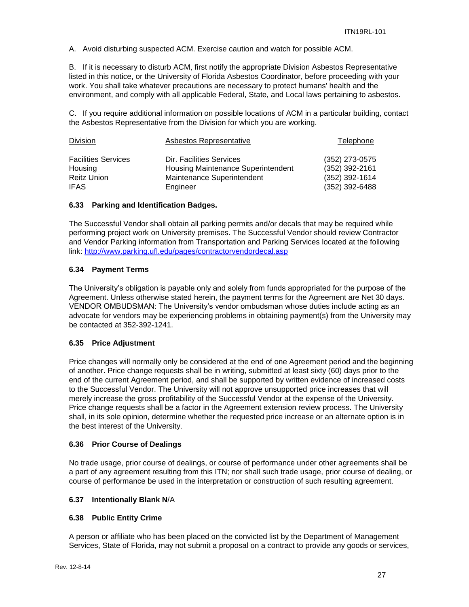A. Avoid disturbing suspected ACM. Exercise caution and watch for possible ACM.

B. If it is necessary to disturb ACM, first notify the appropriate Division Asbestos Representative listed in this notice, or the University of Florida Asbestos Coordinator, before proceeding with your work. You shall take whatever precautions are necessary to protect humans' health and the environment, and comply with all applicable Federal, State, and Local laws pertaining to asbestos.

C. If you require additional information on possible locations of ACM in a particular building, contact the Asbestos Representative from the Division for which you are working.

| Division                              | Asbestos Representative                                        | Telephone                        |
|---------------------------------------|----------------------------------------------------------------|----------------------------------|
| <b>Facilities Services</b><br>Housing | Dir. Facilities Services<br>Housing Maintenance Superintendent | (352) 273-0575<br>(352) 392-2161 |
| <b>Reitz Union</b>                    | Maintenance Superintendent                                     | (352) 392-1614                   |
| <b>IFAS</b>                           | Engineer                                                       | (352) 392-6488                   |

#### <span id="page-26-0"></span>**6.33 Parking and Identification Badges.**

The Successful Vendor shall obtain all parking permits and/or decals that may be required while performing project work on University premises. The Successful Vendor should review Contractor and Vendor Parking information from Transportation and Parking Services located at the following link:<http://www.parking.ufl.edu/pages/contractorvendordecal.asp>

#### <span id="page-26-1"></span>**6.34 Payment Terms**

The University's obligation is payable only and solely from funds appropriated for the purpose of the Agreement. Unless otherwise stated herein, the payment terms for the Agreement are Net 30 days. VENDOR OMBUDSMAN: The University's vendor ombudsman whose duties include acting as an advocate for vendors may be experiencing problems in obtaining payment(s) from the University may be contacted at 352-392-1241.

# <span id="page-26-2"></span>**6.35 Price Adjustment**

Price changes will normally only be considered at the end of one Agreement period and the beginning of another. Price change requests shall be in writing, submitted at least sixty (60) days prior to the end of the current Agreement period, and shall be supported by written evidence of increased costs to the Successful Vendor. The University will not approve unsupported price increases that will merely increase the gross profitability of the Successful Vendor at the expense of the University. Price change requests shall be a factor in the Agreement extension review process. The University shall, in its sole opinion, determine whether the requested price increase or an alternate option is in the best interest of the University.

#### <span id="page-26-3"></span>**6.36 Prior Course of Dealings**

No trade usage, prior course of dealings, or course of performance under other agreements shall be a part of any agreement resulting from this ITN; nor shall such trade usage, prior course of dealing, or course of performance be used in the interpretation or construction of such resulting agreement.

#### <span id="page-26-4"></span>**6.37 Intentionally Blank N**/A

#### <span id="page-26-5"></span>**6.38 Public Entity Crime**

A person or affiliate who has been placed on the convicted list by the Department of Management Services, State of Florida, may not submit a proposal on a contract to provide any goods or services,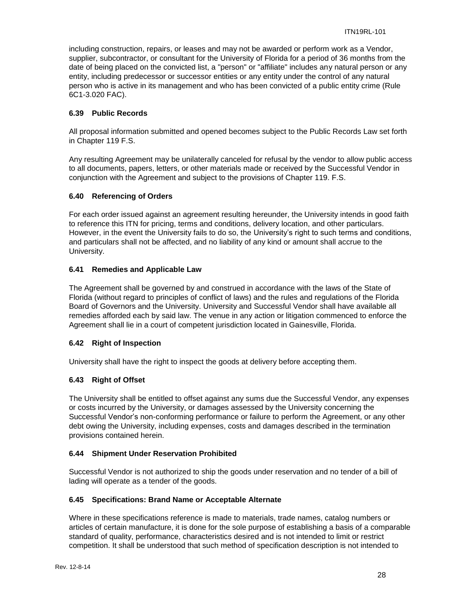including construction, repairs, or leases and may not be awarded or perform work as a Vendor, supplier, subcontractor, or consultant for the University of Florida for a period of 36 months from the date of being placed on the convicted list, a "person" or "affiliate" includes any natural person or any entity, including predecessor or successor entities or any entity under the control of any natural person who is active in its management and who has been convicted of a public entity crime (Rule 6C1-3.020 FAC).

# <span id="page-27-0"></span>**6.39 Public Records**

All proposal information submitted and opened becomes subject to the Public Records Law set forth in Chapter 119 F.S.

Any resulting Agreement may be unilaterally canceled for refusal by the vendor to allow public access to all documents, papers, letters, or other materials made or received by the Successful Vendor in conjunction with the Agreement and subject to the provisions of Chapter 119. F.S.

# <span id="page-27-1"></span>**6.40 Referencing of Orders**

For each order issued against an agreement resulting hereunder, the University intends in good faith to reference this ITN for pricing, terms and conditions, delivery location, and other particulars. However, in the event the University fails to do so, the University's right to such terms and conditions, and particulars shall not be affected, and no liability of any kind or amount shall accrue to the University.

## <span id="page-27-2"></span>**6.41 Remedies and Applicable Law**

The Agreement shall be governed by and construed in accordance with the laws of the State of Florida (without regard to principles of conflict of laws) and the rules and regulations of the Florida Board of Governors and the University. University and Successful Vendor shall have available all remedies afforded each by said law. The venue in any action or litigation commenced to enforce the Agreement shall lie in a court of competent jurisdiction located in Gainesville, Florida.

# <span id="page-27-3"></span>**6.42 Right of Inspection**

University shall have the right to inspect the goods at delivery before accepting them.

# <span id="page-27-4"></span>**6.43 Right of Offset**

The University shall be entitled to offset against any sums due the Successful Vendor, any expenses or costs incurred by the University, or damages assessed by the University concerning the Successful Vendor's non-conforming performance or failure to perform the Agreement, or any other debt owing the University, including expenses, costs and damages described in the termination provisions contained herein.

#### <span id="page-27-5"></span>**6.44 Shipment Under Reservation Prohibited**

Successful Vendor is not authorized to ship the goods under reservation and no tender of a bill of lading will operate as a tender of the goods.

#### <span id="page-27-6"></span>**6.45 Specifications: Brand Name or Acceptable Alternate**

Where in these specifications reference is made to materials, trade names, catalog numbers or articles of certain manufacture, it is done for the sole purpose of establishing a basis of a comparable standard of quality, performance, characteristics desired and is not intended to limit or restrict competition. It shall be understood that such method of specification description is not intended to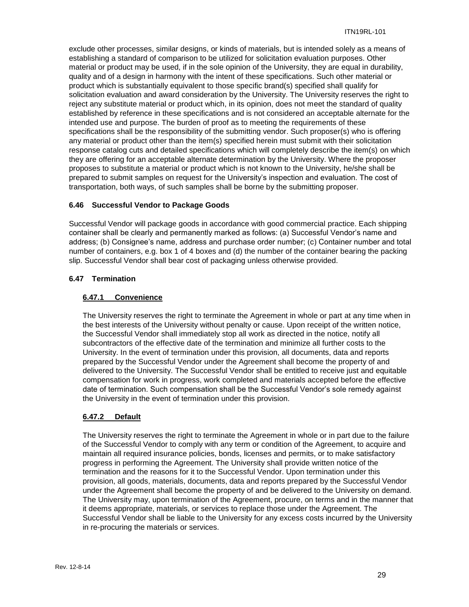exclude other processes, similar designs, or kinds of materials, but is intended solely as a means of establishing a standard of comparison to be utilized for solicitation evaluation purposes. Other material or product may be used, if in the sole opinion of the University, they are equal in durability, quality and of a design in harmony with the intent of these specifications. Such other material or product which is substantially equivalent to those specific brand(s) specified shall qualify for solicitation evaluation and award consideration by the University. The University reserves the right to reject any substitute material or product which, in its opinion, does not meet the standard of quality established by reference in these specifications and is not considered an acceptable alternate for the intended use and purpose. The burden of proof as to meeting the requirements of these specifications shall be the responsibility of the submitting vendor. Such proposer(s) who is offering any material or product other than the item(s) specified herein must submit with their solicitation response catalog cuts and detailed specifications which will completely describe the item(s) on which they are offering for an acceptable alternate determination by the University. Where the proposer proposes to substitute a material or product which is not known to the University, he/she shall be prepared to submit samples on request for the University's inspection and evaluation. The cost of transportation, both ways, of such samples shall be borne by the submitting proposer.

#### <span id="page-28-0"></span>**6.46 Successful Vendor to Package Goods**

Successful Vendor will package goods in accordance with good commercial practice. Each shipping container shall be clearly and permanently marked as follows: (a) Successful Vendor's name and address; (b) Consignee's name, address and purchase order number; (c) Container number and total number of containers, e.g. box 1 of 4 boxes and (d) the number of the container bearing the packing slip. Successful Vendor shall bear cost of packaging unless otherwise provided.

#### <span id="page-28-2"></span><span id="page-28-1"></span>**6.47 Termination**

#### **6.47.1 Convenience**

The University reserves the right to terminate the Agreement in whole or part at any time when in the best interests of the University without penalty or cause. Upon receipt of the written notice, the Successful Vendor shall immediately stop all work as directed in the notice, notify all subcontractors of the effective date of the termination and minimize all further costs to the University. In the event of termination under this provision, all documents, data and reports prepared by the Successful Vendor under the Agreement shall become the property of and delivered to the University. The Successful Vendor shall be entitled to receive just and equitable compensation for work in progress, work completed and materials accepted before the effective date of termination. Such compensation shall be the Successful Vendor's sole remedy against the University in the event of termination under this provision.

# <span id="page-28-3"></span>**6.47.2 Default**

The University reserves the right to terminate the Agreement in whole or in part due to the failure of the Successful Vendor to comply with any term or condition of the Agreement, to acquire and maintain all required insurance policies, bonds, licenses and permits, or to make satisfactory progress in performing the Agreement. The University shall provide written notice of the termination and the reasons for it to the Successful Vendor. Upon termination under this provision, all goods, materials, documents, data and reports prepared by the Successful Vendor under the Agreement shall become the property of and be delivered to the University on demand. The University may, upon termination of the Agreement, procure, on terms and in the manner that it deems appropriate, materials, or services to replace those under the Agreement. The Successful Vendor shall be liable to the University for any excess costs incurred by the University in re-procuring the materials or services.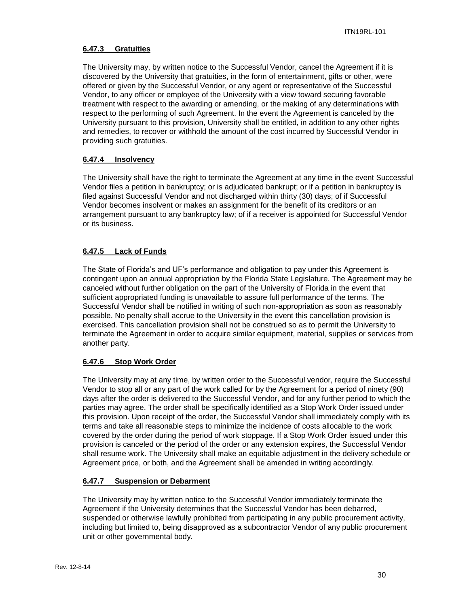# <span id="page-29-0"></span>**6.47.3 Gratuities**

The University may, by written notice to the Successful Vendor, cancel the Agreement if it is discovered by the University that gratuities, in the form of entertainment, gifts or other, were offered or given by the Successful Vendor, or any agent or representative of the Successful Vendor, to any officer or employee of the University with a view toward securing favorable treatment with respect to the awarding or amending, or the making of any determinations with respect to the performing of such Agreement. In the event the Agreement is canceled by the University pursuant to this provision, University shall be entitled, in addition to any other rights and remedies, to recover or withhold the amount of the cost incurred by Successful Vendor in providing such gratuities.

# <span id="page-29-1"></span>**6.47.4 Insolvency**

The University shall have the right to terminate the Agreement at any time in the event Successful Vendor files a petition in bankruptcy; or is adjudicated bankrupt; or if a petition in bankruptcy is filed against Successful Vendor and not discharged within thirty (30) days; of if Successful Vendor becomes insolvent or makes an assignment for the benefit of its creditors or an arrangement pursuant to any bankruptcy law; of if a receiver is appointed for Successful Vendor or its business.

# <span id="page-29-2"></span>**6.47.5 Lack of Funds**

The State of Florida's and UF's performance and obligation to pay under this Agreement is contingent upon an annual appropriation by the Florida State Legislature. The Agreement may be canceled without further obligation on the part of the University of Florida in the event that sufficient appropriated funding is unavailable to assure full performance of the terms. The Successful Vendor shall be notified in writing of such non-appropriation as soon as reasonably possible. No penalty shall accrue to the University in the event this cancellation provision is exercised. This cancellation provision shall not be construed so as to permit the University to terminate the Agreement in order to acquire similar equipment, material, supplies or services from another party.

# <span id="page-29-3"></span>**6.47.6 Stop Work Order**

The University may at any time, by written order to the Successful vendor, require the Successful Vendor to stop all or any part of the work called for by the Agreement for a period of ninety (90) days after the order is delivered to the Successful Vendor, and for any further period to which the parties may agree. The order shall be specifically identified as a Stop Work Order issued under this provision. Upon receipt of the order, the Successful Vendor shall immediately comply with its terms and take all reasonable steps to minimize the incidence of costs allocable to the work covered by the order during the period of work stoppage. If a Stop Work Order issued under this provision is canceled or the period of the order or any extension expires, the Successful Vendor shall resume work. The University shall make an equitable adjustment in the delivery schedule or Agreement price, or both, and the Agreement shall be amended in writing accordingly.

#### <span id="page-29-4"></span>**6.47.7 Suspension or Debarment**

The University may by written notice to the Successful Vendor immediately terminate the Agreement if the University determines that the Successful Vendor has been debarred, suspended or otherwise lawfully prohibited from participating in any public procurement activity, including but limited to, being disapproved as a subcontractor Vendor of any public procurement unit or other governmental body.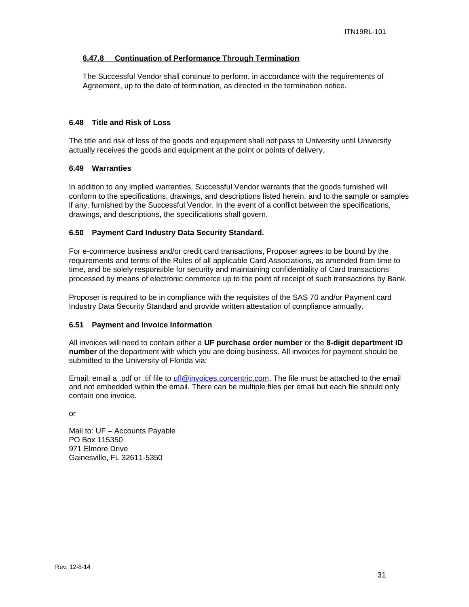#### <span id="page-30-0"></span>**6.47.8 Continuation of Performance Through Termination**

The Successful Vendor shall continue to perform, in accordance with the requirements of Agreement, up to the date of termination, as directed in the termination notice.

#### <span id="page-30-1"></span>**6.48 Title and Risk of Loss**

The title and risk of loss of the goods and equipment shall not pass to University until University actually receives the goods and equipment at the point or points of delivery.

#### <span id="page-30-2"></span>**6.49 Warranties**

In addition to any implied warranties, Successful Vendor warrants that the goods furnished will conform to the specifications, drawings, and descriptions listed herein, and to the sample or samples if any, furnished by the Successful Vendor. In the event of a conflict between the specifications, drawings, and descriptions, the specifications shall govern.

#### <span id="page-30-3"></span>**6.50 Payment Card Industry Data Security Standard.**

For e-commerce business and/or credit card transactions, Proposer agrees to be bound by the requirements and terms of the Rules of all applicable Card Associations, as amended from time to time, and be solely responsible for security and maintaining confidentiality of Card transactions processed by means of electronic commerce up to the point of receipt of such transactions by Bank.

Proposer is required to be in compliance with the requisites of the SAS 70 and/or Payment card Industry Data Security Standard and provide written attestation of compliance annually.

#### <span id="page-30-4"></span>**6.51 Payment and Invoice Information**

All invoices will need to contain either a **UF purchase order number** or the **8-digit department ID number** of the department with which you are doing business. All invoices for payment should be submitted to the University of Florida via:

Email: email a .pdf or .tif file to [ufl@invoices.corcentric.com.](mailto:ufl@invoices.corcentric.com) The file must be attached to the email and not embedded within the email. There can be multiple files per email but each file should only contain one invoice.

or

Mail to: UF – Accounts Payable PO Box 115350 971 Elmore Drive Gainesville, FL 32611-5350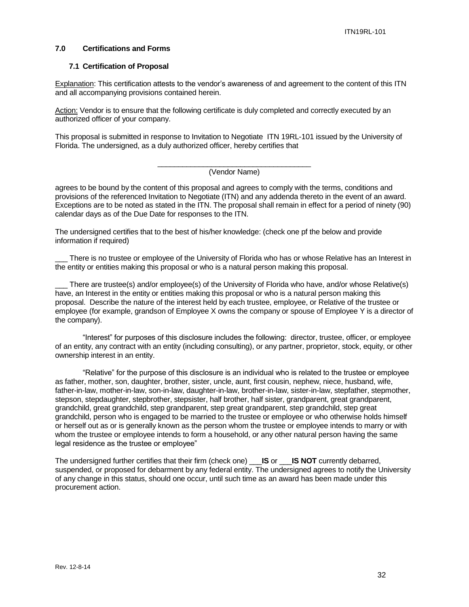#### <span id="page-31-0"></span>**7.0 Certifications and Forms**

#### <span id="page-31-1"></span>**7.1 Certification of Proposal**

Explanation: This certification attests to the vendor's awareness of and agreement to the content of this ITN and all accompanying provisions contained herein.

Action: Vendor is to ensure that the following certificate is duly completed and correctly executed by an authorized officer of your company.

This proposal is submitted in response to Invitation to Negotiate ITN 19RL-101 issued by the University of Florida. The undersigned, as a duly authorized officer, hereby certifies that

#### \_\_\_\_\_\_\_\_\_\_\_\_\_\_\_\_\_\_\_\_\_\_\_\_\_\_\_\_\_\_\_\_\_\_\_\_\_ (Vendor Name)

agrees to be bound by the content of this proposal and agrees to comply with the terms, conditions and provisions of the referenced Invitation to Negotiate (ITN) and any addenda thereto in the event of an award. Exceptions are to be noted as stated in the ITN. The proposal shall remain in effect for a period of ninety (90) calendar days as of the Due Date for responses to the ITN.

The undersigned certifies that to the best of his/her knowledge: (check one pf the below and provide information if required)

There is no trustee or employee of the University of Florida who has or whose Relative has an Interest in the entity or entities making this proposal or who is a natural person making this proposal.

There are trustee(s) and/or employee(s) of the University of Florida who have, and/or whose Relative(s) have, an Interest in the entity or entities making this proposal or who is a natural person making this proposal. Describe the nature of the interest held by each trustee, employee, or Relative of the trustee or employee (for example, grandson of Employee X owns the company or spouse of Employee Y is a director of the company).

"Interest" for purposes of this disclosure includes the following: director, trustee, officer, or employee of an entity, any contract with an entity (including consulting), or any partner, proprietor, stock, equity, or other ownership interest in an entity.

"Relative" for the purpose of this disclosure is an individual who is related to the trustee or employee as father, mother, son, daughter, brother, sister, uncle, aunt, first cousin, nephew, niece, husband, wife, father-in-law, mother-in-law, son-in-law, daughter-in-law, brother-in-law, sister-in-law, stepfather, stepmother, stepson, stepdaughter, stepbrother, stepsister, half brother, half sister, grandparent, great grandparent, grandchild, great grandchild, step grandparent, step great grandparent, step grandchild, step great grandchild, person who is engaged to be married to the trustee or employee or who otherwise holds himself or herself out as or is generally known as the person whom the trustee or employee intends to marry or with whom the trustee or employee intends to form a household, or any other natural person having the same legal residence as the trustee or employee"

The undersigned further certifies that their firm (check one) \_\_\_**IS** or \_\_\_**IS NOT** currently debarred, suspended, or proposed for debarment by any federal entity. The undersigned agrees to notify the University of any change in this status, should one occur, until such time as an award has been made under this procurement action.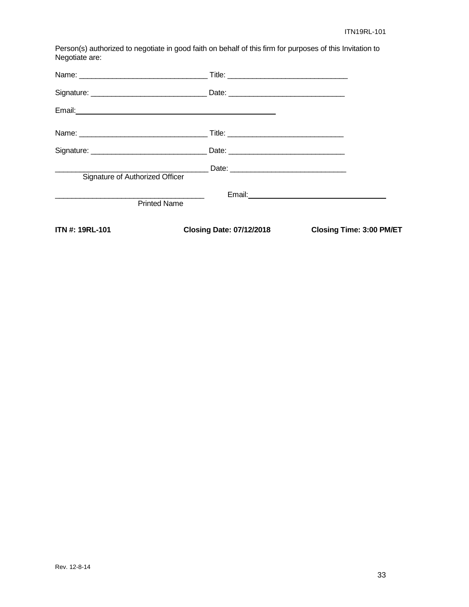Person(s) authorized to negotiate in good faith on behalf of this firm for purposes of this Invitation to Negotiate are:

| ITN #: 19RL-101                 | <b>Closing Date: 07/12/2018</b> | <b>Closing Time: 3:00 PM/ET</b> |
|---------------------------------|---------------------------------|---------------------------------|
| <b>Printed Name</b>             |                                 |                                 |
| Signature of Authorized Officer |                                 |                                 |
|                                 |                                 |                                 |
|                                 |                                 |                                 |
|                                 |                                 |                                 |
|                                 |                                 |                                 |
|                                 |                                 |                                 |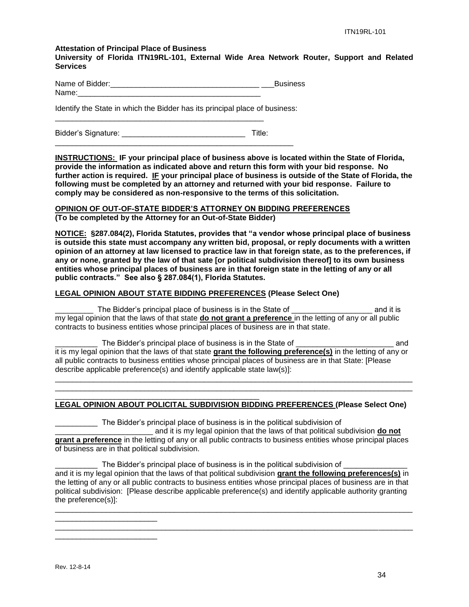#### **Attestation of Principal Place of Business University of Florida ITN19RL-101, External Wide Area Network Router, Support and Related Services**

Name of Bidder:\_\_\_\_\_\_\_\_\_\_\_\_\_\_\_\_\_\_\_\_\_\_\_\_\_\_\_\_\_\_\_\_\_\_\_ \_\_\_Business Name:

Identify the State in which the Bidder has its principal place of business:

Bidder's Signature: **Example 20** Title:

\_\_\_\_\_\_\_\_\_\_\_\_\_\_\_\_\_\_\_\_\_\_\_\_\_\_\_\_\_\_\_\_\_\_\_\_\_\_\_\_\_\_\_\_\_\_\_\_\_\_\_\_\_\_\_\_

\_\_\_\_\_\_\_\_\_\_\_\_\_\_\_\_\_\_\_\_\_\_\_\_\_\_\_\_\_\_\_\_\_\_\_\_\_\_\_\_\_\_\_\_\_\_\_\_\_

**INSTRUCTIONS: IF your principal place of business above is located within the State of Florida, provide the information as indicated above and return this form with your bid response. No further action is required. IF your principal place of business is outside of the State of Florida, the following must be completed by an attorney and returned with your bid response. Failure to comply may be considered as non-responsive to the terms of this solicitation.**

#### **OPINION OF OUT-OF-STATE BIDDER'S ATTORNEY ON BIDDING PREFERENCES (To be completed by the Attorney for an Out-of-State Bidder)**

**NOTICE: §287.084(2), Florida Statutes, provides that "a vendor whose principal place of business is outside this state must accompany any written bid, proposal, or reply documents with a written opinion of an attorney at law licensed to practice law in that foreign state, as to the preferences, if any or none, granted by the law of that sate [or political subdivision thereof] to its own business entities whose principal places of business are in that foreign state in the letting of any or all public contracts." See also § 287.084(1), Florida Statutes.**

#### **LEGAL OPINION ABOUT STATE BIDDING PREFERENCES (Please Select One)**

The Bidder's principal place of business is in the State of \_\_\_\_\_\_\_\_\_\_\_\_\_\_\_\_\_\_\_\_ and it is my legal opinion that the laws of that state **do not grant a preference** in the letting of any or all public contracts to business entities whose principal places of business are in that state.

\_\_\_\_\_\_\_\_\_\_ The Bidder's principal place of business is in the State of \_\_\_\_\_\_\_\_\_\_\_\_\_\_\_\_\_\_\_\_\_\_\_ and it is my legal opinion that the laws of that state **grant the following preference(s)** in the letting of any or all public contracts to business entities whose principal places of business are in that State: [Please describe applicable preference(s) and identify applicable state law(s)]:

\_\_\_\_\_\_\_\_\_\_\_\_\_\_\_\_\_\_\_\_\_\_\_\_\_\_\_\_\_\_\_\_\_\_\_\_\_\_\_\_\_\_\_\_\_\_\_\_\_\_\_\_\_\_\_\_\_\_\_\_\_\_\_\_\_\_\_\_\_\_\_\_\_\_\_\_\_\_\_\_\_\_\_\_ \_\_\_\_\_\_\_\_\_\_\_\_\_\_\_\_\_\_\_\_\_\_\_\_\_\_\_\_\_\_\_\_\_\_\_\_\_\_\_\_\_\_\_\_\_\_\_\_\_\_\_\_\_\_\_\_\_\_\_\_\_\_\_\_\_\_\_\_\_\_\_\_\_\_\_\_\_\_\_\_\_\_\_\_

#### \_\_\_\_\_\_\_\_\_\_\_\_\_\_\_\_\_\_\_\_\_\_\_\_\_\_\_\_\_\_\_\_\_\_\_\_\_\_\_\_\_\_\_\_\_\_\_\_ **LEGAL OPINION ABOUT POLICITAL SUBDIVISION BIDDING PREFERENCES (Please Select One)**

The Bidder's principal place of business is in the political subdivision of

\_\_\_\_\_\_\_\_\_\_\_\_\_\_\_\_\_\_\_\_\_\_\_ and it is my legal opinion that the laws of that political subdivision **do not grant a preference** in the letting of any or all public contracts to business entities whose principal places of business are in that political subdivision.

The Bidder's principal place of business is in the political subdivision of and it is my legal opinion that the laws of that political subdivision **grant the following preferences(s)** in the letting of any or all public contracts to business entities whose principal places of business are in that political subdivision: [Please describe applicable preference(s) and identify applicable authority granting the preference(s)]:

\_\_\_\_\_\_\_\_\_\_\_\_\_\_\_\_\_\_\_\_\_\_\_\_\_\_\_\_\_\_\_\_\_\_\_\_\_\_\_\_\_\_\_\_\_\_\_\_\_\_\_\_\_\_\_\_\_\_\_\_\_\_\_\_\_\_\_\_\_\_\_\_\_\_\_\_\_\_\_\_\_\_\_\_

\_\_\_\_\_\_\_\_\_\_\_\_\_\_\_\_\_\_\_\_\_\_\_\_\_\_\_\_\_\_\_\_\_\_\_\_\_\_\_\_\_\_\_\_\_\_\_\_\_\_\_\_\_\_\_\_\_\_\_\_\_\_\_\_\_\_\_\_\_\_\_\_\_\_\_\_\_\_\_\_\_\_\_\_

\_\_\_\_\_\_\_\_\_\_\_\_\_\_\_\_\_\_\_\_\_\_\_\_

\_\_\_\_\_\_\_\_\_\_\_\_\_\_\_\_\_\_\_\_\_\_\_\_